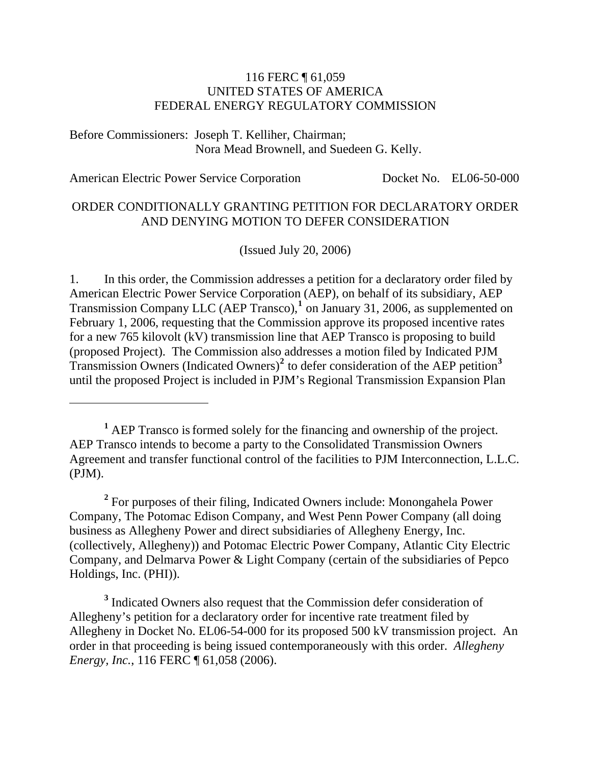#### 116 FERC ¶ 61,059 UNITED STATES OF AMERICA FEDERAL ENERGY REGULATORY COMMISSION

Before Commissioners: Joseph T. Kelliher, Chairman; Nora Mead Brownell, and Suedeen G. Kelly.

 $\overline{a}$ 

American Electric Power Service Corporation Docket No. EL06-50-000

#### ORDER CONDITIONALLY GRANTING PETITION FOR DECLARATORY ORDER AND DENYING MOTION TO DEFER CONSIDERATION

(Issued July 20, 2006)

1. In this order, the Commission addresses a petition for a declaratory order filed by American Electric Power Service Corporation (AEP), on behalf of its subsidiary, AEP Transmission Company LLC (AEP Transco),<sup>[1](#page-0-0)</sup> on January 31, 2006, as supplemented on February 1, 2006, requesting that the Commission approve its proposed incentive rates for a new 765 kilovolt (kV) transmission line that AEP Transco is proposing to build (proposed Project). The Commission also addresses a motion filed by Indicated PJM Transmission Owners (Indicated Owners)**[2](#page-0-1)** to defer consideration of the AEP petition**[3](#page-0-2)** until the proposed Project is included in PJM's Regional Transmission Expansion Plan

<span id="page-0-1"></span><sup>2</sup> For purposes of their filing, Indicated Owners include: Monongahela Power Company, The Potomac Edison Company, and West Penn Power Company (all doing business as Allegheny Power and direct subsidiaries of Allegheny Energy, Inc. (collectively, Allegheny)) and Potomac Electric Power Company, Atlantic City Electric Company, and Delmarva Power & Light Company (certain of the subsidiaries of Pepco Holdings, Inc. (PHI)).

<span id="page-0-2"></span><sup>3</sup> Indicated Owners also request that the Commission defer consideration of Allegheny's petition for a declaratory order for incentive rate treatment filed by Allegheny in Docket No. EL06-54-000 for its proposed 500 kV transmission project. An order in that proceeding is being issued contemporaneously with this order. *Allegheny Energy, Inc.*, 116 FERC ¶ 61,058 (2006).

<span id="page-0-0"></span><sup>&</sup>lt;sup>1</sup> AEP Transco is formed solely for the financing and ownership of the project. AEP Transco intends to become a party to the Consolidated Transmission Owners Agreement and transfer functional control of the facilities to PJM Interconnection, L.L.C. (PJM).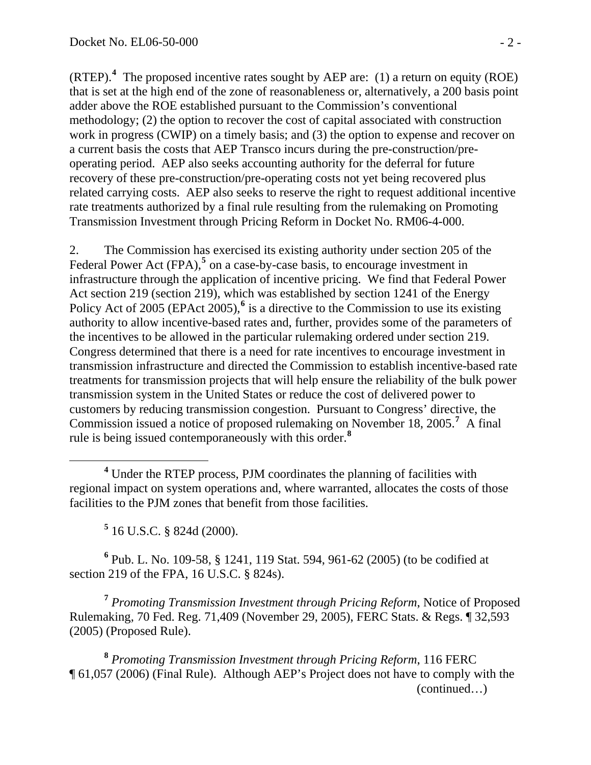(RTEP).**[4](#page-1-0)** The proposed incentive rates sought by AEP are: (1) a return on equity (ROE) that is set at the high end of the zone of reasonableness or, alternatively, a 200 basis point adder above the ROE established pursuant to the Commission's conventional methodology; (2) the option to recover the cost of capital associated with construction work in progress (CWIP) on a timely basis; and (3) the option to expense and recover on a current basis the costs that AEP Transco incurs during the pre-construction/preoperating period. AEP also seeks accounting authority for the deferral for future recovery of these pre-construction/pre-operating costs not yet being recovered plus related carrying costs. AEP also seeks to reserve the right to request additional incentive rate treatments authorized by a final rule resulting from the rulemaking on Promoting Transmission Investment through Pricing Reform in Docket No. RM06-4-000.

2. The Commission has exercised its existing authority under section 205 of the Federal Power Act (FPA),<sup>[5](#page-1-1)</sup> on a case-by-case basis, to encourage investment in infrastructure through the application of incentive pricing. We find that Federal Power Act section 219 (section 219), which was established by section 1241 of the Energy Policy Act of 2005 (EPAct 2005),<sup>[6](#page-1-2)</sup> is a directive to the Commission to use its existing authority to allow incentive-based rates and, further, provides some of the parameters of the incentives to be allowed in the particular rulemaking ordered under section 219. Congress determined that there is a need for rate incentives to encourage investment in transmission infrastructure and directed the Commission to establish incentive-based rate treatments for transmission projects that will help ensure the reliability of the bulk power transmission system in the United States or reduce the cost of delivered power to customers by reducing transmission congestion. Pursuant to Congress' directive, the Commission issued a notice of proposed rulemaking on November 18, 2005.<sup>[7](#page-1-3)</sup> A final rule is being issued contemporaneously with this order.**[8](#page-1-4)**

<span id="page-1-0"></span> $\overline{a}$ <sup>4</sup> Under the RTEP process, PJM coordinates the planning of facilities with regional impact on system operations and, where warranted, allocates the costs of those facilities to the PJM zones that benefit from those facilities.

**5** 16 U.S.C. § 824d (2000).

<span id="page-1-2"></span><span id="page-1-1"></span>**6** Pub. L. No. 109-58, § 1241, 119 Stat. 594, 961-62 (2005) (to be codified at section 219 of the FPA, 16 U.S.C. § 824s).

<span id="page-1-3"></span>**<sup>7</sup>** *Promoting Transmission Investment through Pricing Reform*, Notice of Proposed Rulemaking, 70 Fed. Reg. 71,409 (November 29, 2005), FERC Stats. & Regs. ¶ 32,593 (2005) (Proposed Rule).

<span id="page-1-4"></span> (continued…) **<sup>8</sup>** *Promoting Transmission Investment through Pricing Reform*, 116 FERC ¶ 61,057 (2006) (Final Rule). Although AEP's Project does not have to comply with the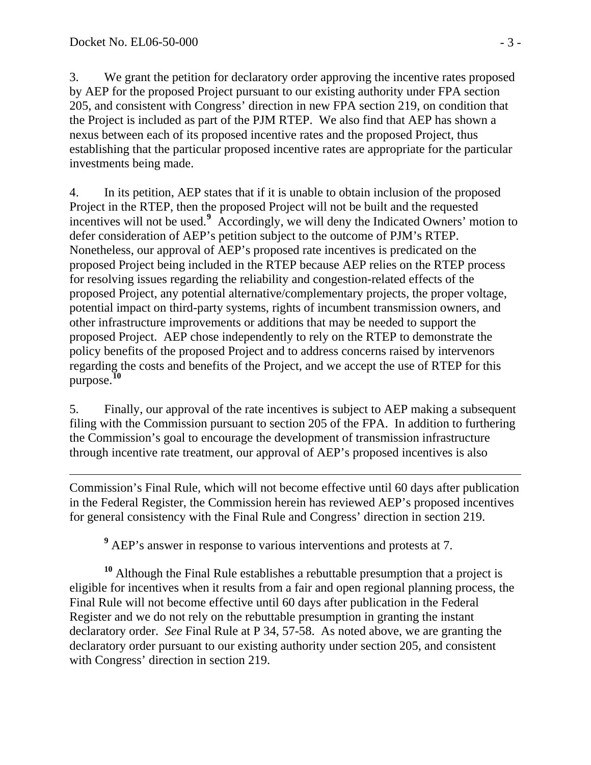3. We grant the petition for declaratory order approving the incentive rates proposed by AEP for the proposed Project pursuant to our existing authority under FPA section 205, and consistent with Congress' direction in new FPA section 219, on condition that the Project is included as part of the PJM RTEP. We also find that AEP has shown a nexus between each of its proposed incentive rates and the proposed Project, thus establishing that the particular proposed incentive rates are appropriate for the particular investments being made.

4. In its petition, AEP states that if it is unable to obtain inclusion of the proposed Project in the RTEP, then the proposed Project will not be built and the requested incentives will not be used.**[9](#page-2-0)** Accordingly, we will deny the Indicated Owners' motion to defer consideration of AEP's petition subject to the outcome of PJM's RTEP. Nonetheless, our approval of AEP's proposed rate incentives is predicated on the proposed Project being included in the RTEP because AEP relies on the RTEP process for resolving issues regarding the reliability and congestion-related effects of the proposed Project, any potential alternative/complementary projects, the proper voltage, potential impact on third-party systems, rights of incumbent transmission owners, and other infrastructure improvements or additions that may be needed to support the proposed Project. AEP chose independently to rely on the RTEP to demonstrate the policy benefits of the proposed Project and to address concerns raised by intervenors regarding the costs and benefits of the Project, and we accept the use of RTEP for this purpose.**[10](#page-2-1)**

5. Finally, our approval of the rate incentives is subject to AEP making a subsequent filing with the Commission pursuant to section 205 of the FPA. In addition to furthering the Commission's goal to encourage the development of transmission infrastructure through incentive rate treatment, our approval of AEP's proposed incentives is also

 $\overline{a}$ Commission's Final Rule, which will not become effective until 60 days after publication in the Federal Register, the Commission herein has reviewed AEP's proposed incentives for general consistency with the Final Rule and Congress' direction in section 219.

<sup>9</sup> AEP's answer in response to various interventions and protests at 7.

<span id="page-2-1"></span><span id="page-2-0"></span>**<sup>10</sup>** Although the Final Rule establishes a rebuttable presumption that a project is eligible for incentives when it results from a fair and open regional planning process, the Final Rule will not become effective until 60 days after publication in the Federal Register and we do not rely on the rebuttable presumption in granting the instant declaratory order. *See* Final Rule at P 34, 57-58. As noted above, we are granting the declaratory order pursuant to our existing authority under section 205, and consistent with Congress' direction in section 219.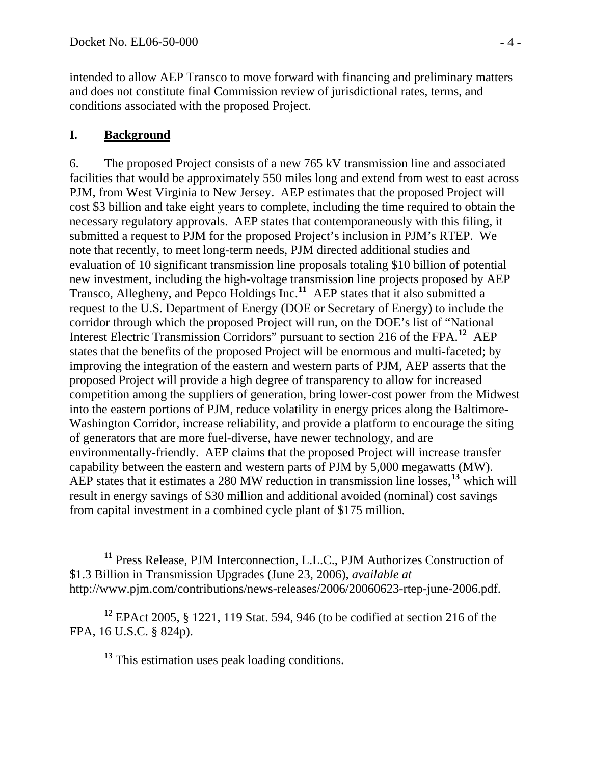intended to allow AEP Transco to move forward with financing and preliminary matters and does not constitute final Commission review of jurisdictional rates, terms, and conditions associated with the proposed Project.

### **I. Background**

6. The proposed Project consists of a new 765 kV transmission line and associated facilities that would be approximately 550 miles long and extend from west to east across PJM, from West Virginia to New Jersey. AEP estimates that the proposed Project will cost \$3 billion and take eight years to complete, including the time required to obtain the necessary regulatory approvals. AEP states that contemporaneously with this filing, it submitted a request to PJM for the proposed Project's inclusion in PJM's RTEP. We note that recently, to meet long-term needs, PJM directed additional studies and evaluation of 10 significant transmission line proposals totaling \$10 billion of potential new investment, including the high-voltage transmission line projects proposed by AEP Transco, Allegheny, and Pepco Holdings Inc.**[11](#page-3-0)** AEP states that it also submitted a request to the U.S. Department of Energy (DOE or Secretary of Energy) to include the corridor through which the proposed Project will run, on the DOE's list of "National Interest Electric Transmission Corridors" pursuant to section 216 of the FPA.**[12](#page-3-1)** AEP states that the benefits of the proposed Project will be enormous and multi-faceted; by improving the integration of the eastern and western parts of PJM, AEP asserts that the proposed Project will provide a high degree of transparency to allow for increased competition among the suppliers of generation, bring lower-cost power from the Midwest into the eastern portions of PJM, reduce volatility in energy prices along the Baltimore-Washington Corridor, increase reliability, and provide a platform to encourage the siting of generators that are more fuel-diverse, have newer technology, and are environmentally-friendly. AEP claims that the proposed Project will increase transfer capability between the eastern and western parts of PJM by 5,000 megawatts (MW). AEP states that it estimates a 280 MW reduction in transmission line losses,**[13](#page-3-2)** which will result in energy savings of \$30 million and additional avoided (nominal) cost savings from capital investment in a combined cycle plant of \$175 million.

**<sup>13</sup>** This estimation uses peak loading conditions.

<span id="page-3-0"></span>**<sup>11</sup>** Press Release, PJM Interconnection, L.L.C., PJM Authorizes Construction of \$1.3 Billion in Transmission Upgrades (June 23, 2006), *available at* http://www.pjm.com/contributions/news-releases/2006/20060623-rtep-june-2006.pdf.

<span id="page-3-2"></span><span id="page-3-1"></span>**<sup>12</sup>** EPAct 2005, § 1221, 119 Stat. 594, 946 (to be codified at section 216 of the FPA, 16 U.S.C. § 824p).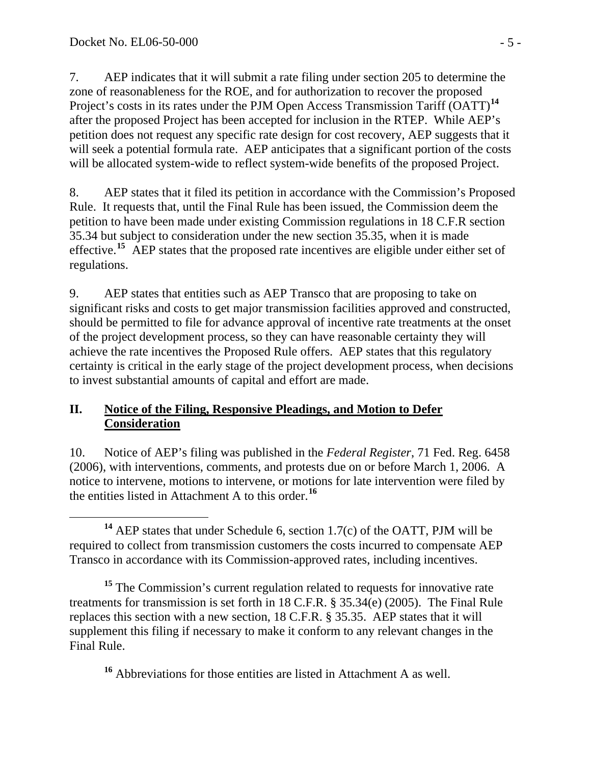7. AEP indicates that it will submit a rate filing under section 205 to determine the zone of reasonableness for the ROE, and for authorization to recover the proposed Project's costs in its rates under the PJM Open Access Transmission Tariff (OATT)**[14](#page-4-0)** after the proposed Project has been accepted for inclusion in the RTEP. While AEP's petition does not request any specific rate design for cost recovery, AEP suggests that it will seek a potential formula rate. AEP anticipates that a significant portion of the costs will be allocated system-wide to reflect system-wide benefits of the proposed Project.

8. AEP states that it filed its petition in accordance with the Commission's Proposed Rule. It requests that, until the Final Rule has been issued, the Commission deem the petition to have been made under existing Commission regulations in 18 C.F.R section 35.34 but subject to consideration under the new section 35.35, when it is made effective.**[15](#page-4-1)** AEP states that the proposed rate incentives are eligible under either set of regulations.

9. AEP states that entities such as AEP Transco that are proposing to take on significant risks and costs to get major transmission facilities approved and constructed, should be permitted to file for advance approval of incentive rate treatments at the onset of the project development process, so they can have reasonable certainty they will achieve the rate incentives the Proposed Rule offers. AEP states that this regulatory certainty is critical in the early stage of the project development process, when decisions to invest substantial amounts of capital and effort are made.

#### **II. Notice of the Filing, Responsive Pleadings, and Motion to Defer Consideration**

10. Notice of AEP's filing was published in the *Federal Register*, 71 Fed. Reg. 6458 (2006), with interventions, comments, and protests due on or before March 1, 2006. A notice to intervene, motions to intervene, or motions for late intervention were filed by the entities listed in Attachment A to this order.**[16](#page-4-2)**

<span id="page-4-0"></span> **<sup>14</sup>** AEP states that under Schedule 6, section 1.7(c) of the OATT, PJM will be required to collect from transmission customers the costs incurred to compensate AEP Transco in accordance with its Commission-approved rates, including incentives.

<span id="page-4-1"></span><sup>15</sup> The Commission's current regulation related to requests for innovative rate treatments for transmission is set forth in 18 C.F.R. § 35.34(e) (2005). The Final Rule replaces this section with a new section, 18 C.F.R. § 35.35. AEP states that it will supplement this filing if necessary to make it conform to any relevant changes in the Final Rule.

<span id="page-4-2"></span>**<sup>16</sup>** Abbreviations for those entities are listed in Attachment A as well.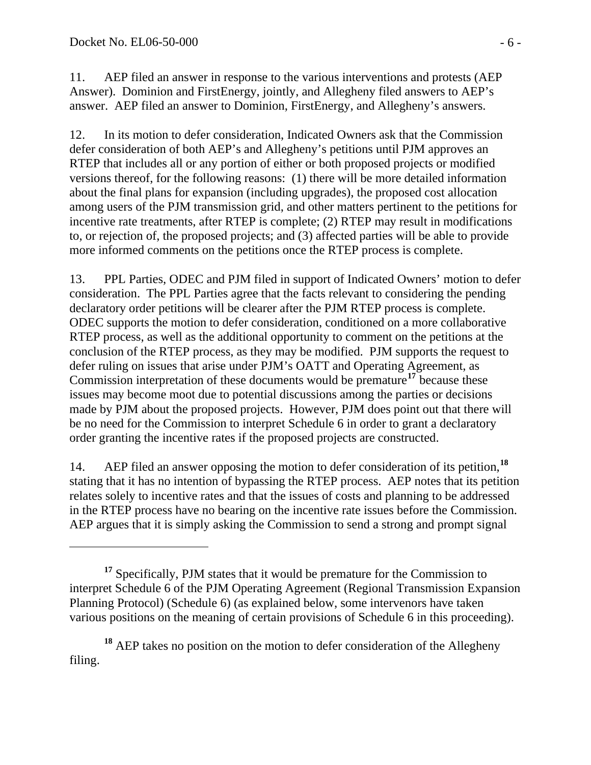$\overline{a}$ 

11. AEP filed an answer in response to the various interventions and protests (AEP Answer). Dominion and FirstEnergy, jointly, and Allegheny filed answers to AEP's answer. AEP filed an answer to Dominion, FirstEnergy, and Allegheny's answers.

12. In its motion to defer consideration, Indicated Owners ask that the Commission defer consideration of both AEP's and Allegheny's petitions until PJM approves an RTEP that includes all or any portion of either or both proposed projects or modified versions thereof, for the following reasons: (1) there will be more detailed information about the final plans for expansion (including upgrades), the proposed cost allocation among users of the PJM transmission grid, and other matters pertinent to the petitions for incentive rate treatments, after RTEP is complete; (2) RTEP may result in modifications to, or rejection of, the proposed projects; and (3) affected parties will be able to provide more informed comments on the petitions once the RTEP process is complete.

13. PPL Parties, ODEC and PJM filed in support of Indicated Owners' motion to defer consideration. The PPL Parties agree that the facts relevant to considering the pending declaratory order petitions will be clearer after the PJM RTEP process is complete. ODEC supports the motion to defer consideration, conditioned on a more collaborative RTEP process, as well as the additional opportunity to comment on the petitions at the conclusion of the RTEP process, as they may be modified. PJM supports the request to defer ruling on issues that arise under PJM's OATT and Operating Agreement, as Commission interpretation of these documents would be premature**[17](#page-5-0)** because these issues may become moot due to potential discussions among the parties or decisions made by PJM about the proposed projects. However, PJM does point out that there will be no need for the Commission to interpret Schedule 6 in order to grant a declaratory order granting the incentive rates if the proposed projects are constructed.

14. AEP filed an answer opposing the motion to defer consideration of its petition,**[18](#page-5-1)** stating that it has no intention of bypassing the RTEP process. AEP notes that its petition relates solely to incentive rates and that the issues of costs and planning to be addressed in the RTEP process have no bearing on the incentive rate issues before the Commission. AEP argues that it is simply asking the Commission to send a strong and prompt signal

<span id="page-5-0"></span>**<sup>17</sup>** Specifically, PJM states that it would be premature for the Commission to interpret Schedule 6 of the PJM Operating Agreement (Regional Transmission Expansion Planning Protocol) (Schedule 6) (as explained below, some intervenors have taken various positions on the meaning of certain provisions of Schedule 6 in this proceeding).

<span id="page-5-1"></span>**<sup>18</sup>** AEP takes no position on the motion to defer consideration of the Allegheny filing.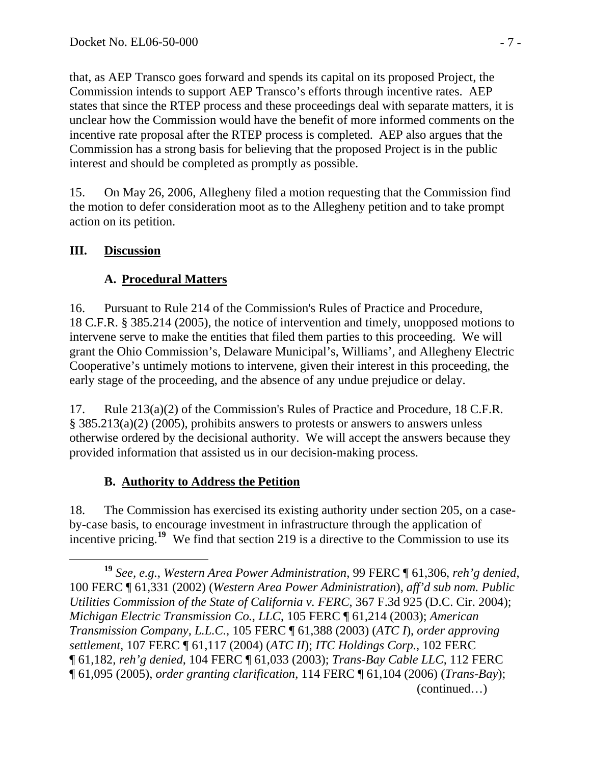that, as AEP Transco goes forward and spends its capital on its proposed Project, the Commission intends to support AEP Transco's efforts through incentive rates. AEP states that since the RTEP process and these proceedings deal with separate matters, it is unclear how the Commission would have the benefit of more informed comments on the incentive rate proposal after the RTEP process is completed. AEP also argues that the Commission has a strong basis for believing that the proposed Project is in the public interest and should be completed as promptly as possible.

15. On May 26, 2006, Allegheny filed a motion requesting that the Commission find the motion to defer consideration moot as to the Allegheny petition and to take prompt action on its petition.

### **III. Discussion**

### **A. Procedural Matters**

16. Pursuant to Rule 214 of the Commission's Rules of Practice and Procedure, 18 C.F.R. § 385.214 (2005), the notice of intervention and timely, unopposed motions to intervene serve to make the entities that filed them parties to this proceeding. We will grant the Ohio Commission's, Delaware Municipal's, Williams', and Allegheny Electric Cooperative's untimely motions to intervene, given their interest in this proceeding, the early stage of the proceeding, and the absence of any undue prejudice or delay.

17. Rule 213(a)(2) of the Commission's Rules of Practice and Procedure, 18 C.F.R. § 385.213(a)(2) (2005), prohibits answers to protests or answers to answers unless otherwise ordered by the decisional authority. We will accept the answers because they provided information that assisted us in our decision-making process.

## **B. Authority to Address the Petition**

18. The Commission has exercised its existing authority under section 205, on a caseby-case basis, to encourage investment in infrastructure through the application of incentive pricing.<sup>[19](#page-6-0)</sup> We find that section 219 is a directive to the Commission to use its

<span id="page-6-0"></span> (continued…) **<sup>19</sup>** *See, e.g.*, *Western Area Power Administration*, 99 FERC ¶ 61,306, *reh'g denied*, 100 FERC ¶ 61,331 (2002) (*Western Area Power Administration*), *aff'd sub nom. Public Utilities Commission of the State of California v. FERC*, 367 F.3d 925 (D.C. Cir. 2004); *Michigan Electric Transmission Co., LLC*, 105 FERC ¶ 61,214 (2003); *American Transmission Company, L.L.C.*, 105 FERC ¶ 61,388 (2003) (*ATC I*), *order approving settlement*, 107 FERC ¶ 61,117 (2004) (*ATC II*); *ITC Holdings Corp.*, 102 FERC ¶ 61,182, *reh'g denied*, 104 FERC ¶ 61,033 (2003); *Trans-Bay Cable LLC*, 112 FERC ¶ 61,095 (2005), *order granting clarification*, 114 FERC ¶ 61,104 (2006) (*Trans-Bay*);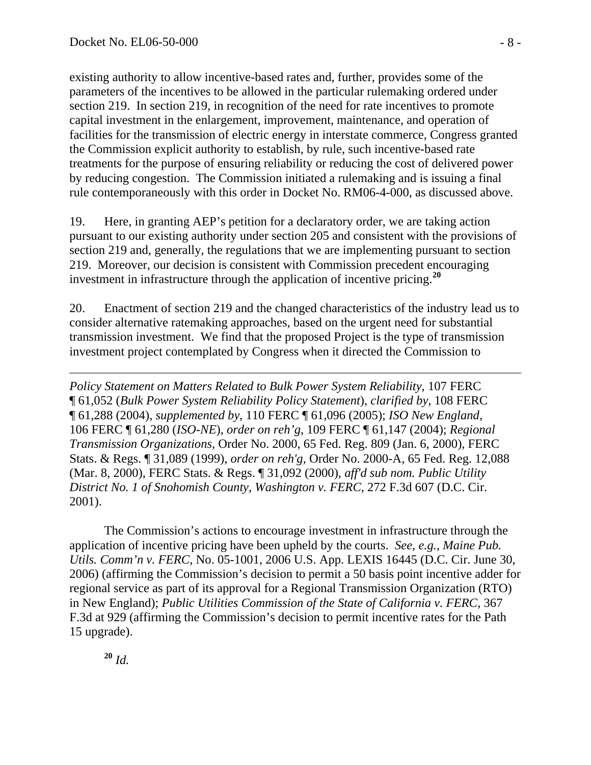existing authority to allow incentive-based rates and, further, provides some of the parameters of the incentives to be allowed in the particular rulemaking ordered under section 219. In section 219, in recognition of the need for rate incentives to promote capital investment in the enlargement, improvement, maintenance, and operation of facilities for the transmission of electric energy in interstate commerce, Congress granted the Commission explicit authority to establish, by rule, such incentive-based rate treatments for the purpose of ensuring reliability or reducing the cost of delivered power by reducing congestion. The Commission initiated a rulemaking and is issuing a final rule contemporaneously with this order in Docket No. RM06-4-000, as discussed above.

19. Here, in granting AEP's petition for a declaratory order, we are taking action pursuant to our existing authority under section 205 and consistent with the provisions of section 219 and, generally, the regulations that we are implementing pursuant to section 219. Moreover, our decision is consistent with Commission precedent encouraging investment in infrastructure through the application of incentive pricing.**[20](#page-7-0)**

20. Enactment of section 219 and the changed characteristics of the industry lead us to consider alternative ratemaking approaches, based on the urgent need for substantial transmission investment. We find that the proposed Project is the type of transmission investment project contemplated by Congress when it directed the Commission to

*Policy Statement on Matters Related to Bulk Power System Reliability*, 107 FERC ¶ 61,052 (*Bulk Power System Reliability Policy Statement*), *clarified by*, 108 FERC ¶ 61,288 (2004), *supplemented by*, 110 FERC ¶ 61,096 (2005); *ISO New England*, 106 FERC ¶ 61,280 (*ISO-NE*), *order on reh'g*, 109 FERC ¶ 61,147 (2004); *Regional Transmission Organizations*, Order No. 2000, 65 Fed. Reg. 809 (Jan. 6, 2000), FERC Stats. & Regs. ¶ 31,089 (1999), *order on reh'g*, Order No. 2000-A, 65 Fed. Reg. 12,088 (Mar. 8, 2000), FERC Stats. & Regs. ¶ 31,092 (2000), *aff'd sub nom. Public Utility District No. 1 of Snohomish County, Washington v. FERC*, 272 F.3d 607 (D.C. Cir. 2001).

 The Commission's actions to encourage investment in infrastructure through the application of incentive pricing have been upheld by the courts. *See, e.g.*, *Maine Pub. Utils. Comm'n v. FERC*, No. 05-1001, 2006 U.S. App. LEXIS 16445 (D.C. Cir. June 30, 2006) (affirming the Commission's decision to permit a 50 basis point incentive adder for regional service as part of its approval for a Regional Transmission Organization (RTO) in New England); *Public Utilities Commission of the State of California v. FERC*, 367 F.3d at 929 (affirming the Commission's decision to permit incentive rates for the Path 15 upgrade).

<span id="page-7-0"></span>**<sup>20</sup>** *Id.*

 $\overline{a}$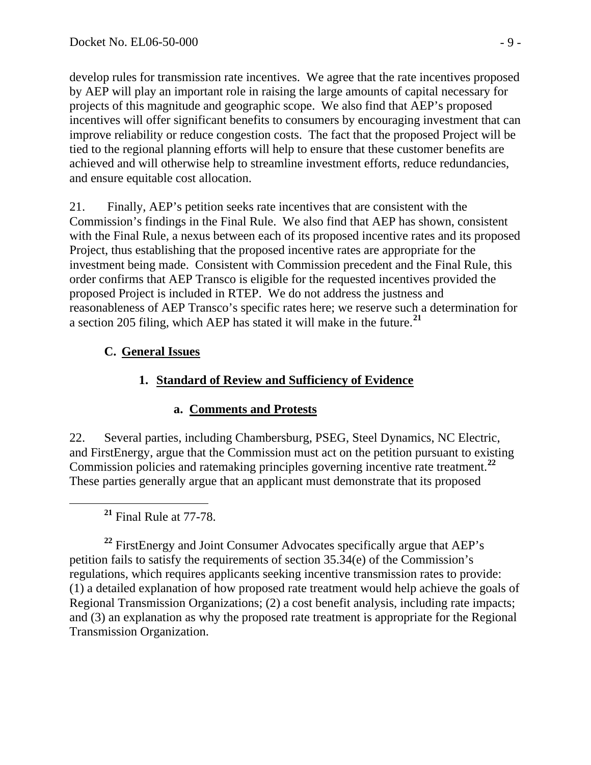develop rules for transmission rate incentives. We agree that the rate incentives proposed by AEP will play an important role in raising the large amounts of capital necessary for projects of this magnitude and geographic scope. We also find that AEP's proposed incentives will offer significant benefits to consumers by encouraging investment that can improve reliability or reduce congestion costs. The fact that the proposed Project will be tied to the regional planning efforts will help to ensure that these customer benefits are achieved and will otherwise help to streamline investment efforts, reduce redundancies, and ensure equitable cost allocation.

21. Finally, AEP's petition seeks rate incentives that are consistent with the Commission's findings in the Final Rule. We also find that AEP has shown, consistent with the Final Rule, a nexus between each of its proposed incentive rates and its proposed Project, thus establishing that the proposed incentive rates are appropriate for the investment being made. Consistent with Commission precedent and the Final Rule, this order confirms that AEP Transco is eligible for the requested incentives provided the proposed Project is included in RTEP. We do not address the justness and reasonableness of AEP Transco's specific rates here; we reserve such a determination for a section 205 filing, which AEP has stated it will make in the future.**[21](#page-8-0)**

## **C. General Issues**

## **1. Standard of Review and Sufficiency of Evidence**

### **a. Comments and Protests**

22. Several parties, including Chambersburg, PSEG, Steel Dynamics, NC Electric, and FirstEnergy, argue that the Commission must act on the petition pursuant to existing Commission policies and ratemaking principles governing incentive rate treatment.**[22](#page-8-1)** These parties generally argue that an applicant must demonstrate that its proposed

**<sup>21</sup>** Final Rule at 77-78.

<span id="page-8-1"></span><span id="page-8-0"></span><sup>22</sup> FirstEnergy and Joint Consumer Advocates specifically argue that AEP's petition fails to satisfy the requirements of section 35.34(e) of the Commission's regulations, which requires applicants seeking incentive transmission rates to provide: (1) a detailed explanation of how proposed rate treatment would help achieve the goals of Regional Transmission Organizations; (2) a cost benefit analysis, including rate impacts; and (3) an explanation as why the proposed rate treatment is appropriate for the Regional Transmission Organization.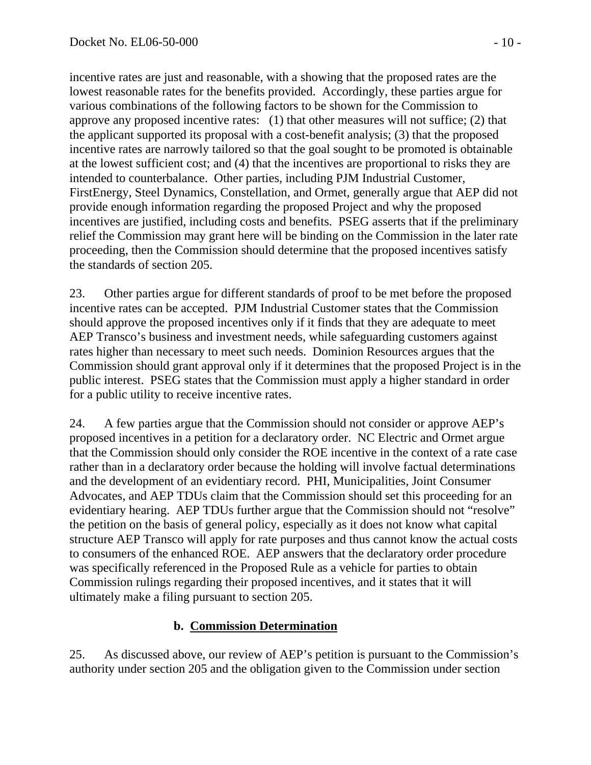incentive rates are just and reasonable, with a showing that the proposed rates are the lowest reasonable rates for the benefits provided. Accordingly, these parties argue for various combinations of the following factors to be shown for the Commission to approve any proposed incentive rates: (1) that other measures will not suffice; (2) that the applicant supported its proposal with a cost-benefit analysis; (3) that the proposed incentive rates are narrowly tailored so that the goal sought to be promoted is obtainable at the lowest sufficient cost; and (4) that the incentives are proportional to risks they are intended to counterbalance. Other parties, including PJM Industrial Customer, FirstEnergy, Steel Dynamics, Constellation, and Ormet, generally argue that AEP did not provide enough information regarding the proposed Project and why the proposed incentives are justified, including costs and benefits. PSEG asserts that if the preliminary relief the Commission may grant here will be binding on the Commission in the later rate proceeding, then the Commission should determine that the proposed incentives satisfy the standards of section 205.

23. Other parties argue for different standards of proof to be met before the proposed incentive rates can be accepted. PJM Industrial Customer states that the Commission should approve the proposed incentives only if it finds that they are adequate to meet AEP Transco's business and investment needs, while safeguarding customers against rates higher than necessary to meet such needs. Dominion Resources argues that the Commission should grant approval only if it determines that the proposed Project is in the public interest. PSEG states that the Commission must apply a higher standard in order for a public utility to receive incentive rates.

24. A few parties argue that the Commission should not consider or approve AEP's proposed incentives in a petition for a declaratory order. NC Electric and Ormet argue that the Commission should only consider the ROE incentive in the context of a rate case rather than in a declaratory order because the holding will involve factual determinations and the development of an evidentiary record. PHI, Municipalities, Joint Consumer Advocates, and AEP TDUs claim that the Commission should set this proceeding for an evidentiary hearing. AEP TDUs further argue that the Commission should not "resolve" the petition on the basis of general policy, especially as it does not know what capital structure AEP Transco will apply for rate purposes and thus cannot know the actual costs to consumers of the enhanced ROE. AEP answers that the declaratory order procedure was specifically referenced in the Proposed Rule as a vehicle for parties to obtain Commission rulings regarding their proposed incentives, and it states that it will ultimately make a filing pursuant to section 205.

#### **b. Commission Determination**

25. As discussed above, our review of AEP's petition is pursuant to the Commission's authority under section 205 and the obligation given to the Commission under section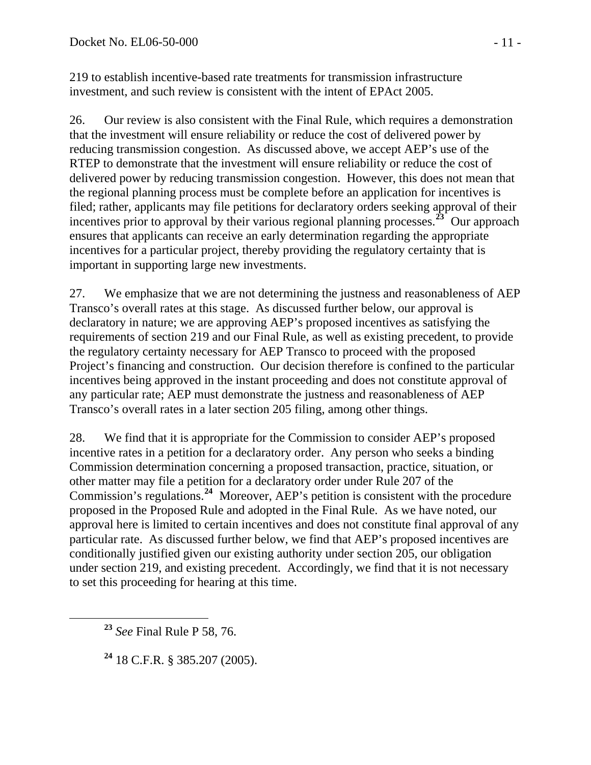219 to establish incentive-based rate treatments for transmission infrastructure investment, and such review is consistent with the intent of EPAct 2005.

26. Our review is also consistent with the Final Rule, which requires a demonstration that the investment will ensure reliability or reduce the cost of delivered power by reducing transmission congestion. As discussed above, we accept AEP's use of the RTEP to demonstrate that the investment will ensure reliability or reduce the cost of delivered power by reducing transmission congestion. However, this does not mean that the regional planning process must be complete before an application for incentives is filed; rather, applicants may file petitions for declaratory orders seeking approval of their incentives prior to approval by their various regional planning processes.**[23](#page-10-0)** Our approach ensures that applicants can receive an early determination regarding the appropriate incentives for a particular project, thereby providing the regulatory certainty that is important in supporting large new investments.

27. We emphasize that we are not determining the justness and reasonableness of AEP Transco's overall rates at this stage. As discussed further below, our approval is declaratory in nature; we are approving AEP's proposed incentives as satisfying the requirements of section 219 and our Final Rule, as well as existing precedent, to provide the regulatory certainty necessary for AEP Transco to proceed with the proposed Project's financing and construction. Our decision therefore is confined to the particular incentives being approved in the instant proceeding and does not constitute approval of any particular rate; AEP must demonstrate the justness and reasonableness of AEP Transco's overall rates in a later section 205 filing, among other things.

28. We find that it is appropriate for the Commission to consider AEP's proposed incentive rates in a petition for a declaratory order. Any person who seeks a binding Commission determination concerning a proposed transaction, practice, situation, or other matter may file a petition for a declaratory order under Rule 207 of the Commission's regulations.**[24](#page-10-1)** Moreover, AEP's petition is consistent with the procedure proposed in the Proposed Rule and adopted in the Final Rule. As we have noted, our approval here is limited to certain incentives and does not constitute final approval of any particular rate. As discussed further below, we find that AEP's proposed incentives are conditionally justified given our existing authority under section 205, our obligation under section 219, and existing precedent. Accordingly, we find that it is not necessary to set this proceeding for hearing at this time.

<span id="page-10-0"></span>**<sup>23</sup>** *See* Final Rule P 58, 76.

<span id="page-10-1"></span>**<sup>24</sup>** 18 C.F.R. § 385.207 (2005).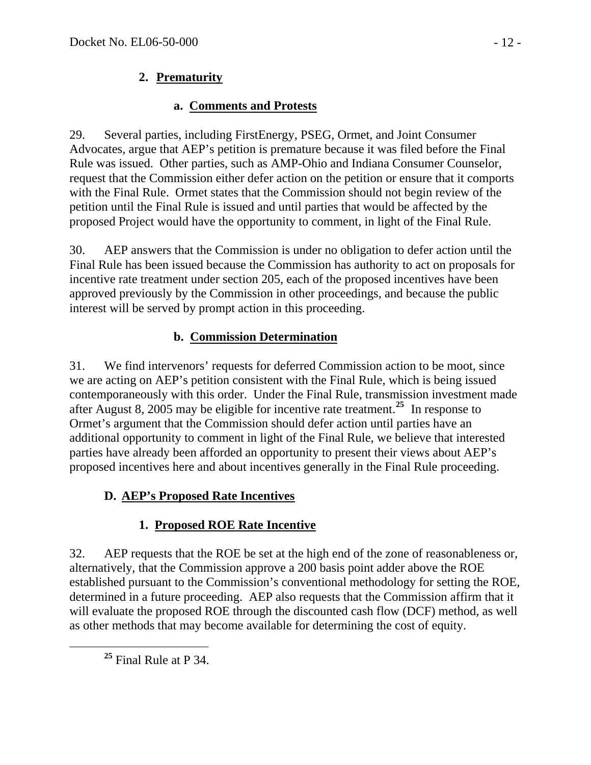## **2. Prematurity**

## **a. Comments and Protests**

29. Several parties, including FirstEnergy, PSEG, Ormet, and Joint Consumer Advocates, argue that AEP's petition is premature because it was filed before the Final Rule was issued. Other parties, such as AMP-Ohio and Indiana Consumer Counselor, request that the Commission either defer action on the petition or ensure that it comports with the Final Rule. Ormet states that the Commission should not begin review of the petition until the Final Rule is issued and until parties that would be affected by the proposed Project would have the opportunity to comment, in light of the Final Rule.

30. AEP answers that the Commission is under no obligation to defer action until the Final Rule has been issued because the Commission has authority to act on proposals for incentive rate treatment under section 205, each of the proposed incentives have been approved previously by the Commission in other proceedings, and because the public interest will be served by prompt action in this proceeding.

## **b. Commission Determination**

31. We find intervenors' requests for deferred Commission action to be moot, since we are acting on AEP's petition consistent with the Final Rule, which is being issued contemporaneously with this order. Under the Final Rule, transmission investment made after August 8, 2005 may be eligible for incentive rate treatment.**[25](#page-11-0)** In response to Ormet's argument that the Commission should defer action until parties have an additional opportunity to comment in light of the Final Rule, we believe that interested parties have already been afforded an opportunity to present their views about AEP's proposed incentives here and about incentives generally in the Final Rule proceeding.

# **D. AEP's Proposed Rate Incentives**

# **1. Proposed ROE Rate Incentive**

32. AEP requests that the ROE be set at the high end of the zone of reasonableness or, alternatively, that the Commission approve a 200 basis point adder above the ROE established pursuant to the Commission's conventional methodology for setting the ROE, determined in a future proceeding. AEP also requests that the Commission affirm that it will evaluate the proposed ROE through the discounted cash flow (DCF) method, as well as other methods that may become available for determining the cost of equity.

<span id="page-11-0"></span>**<sup>25</sup>** Final Rule at P 34.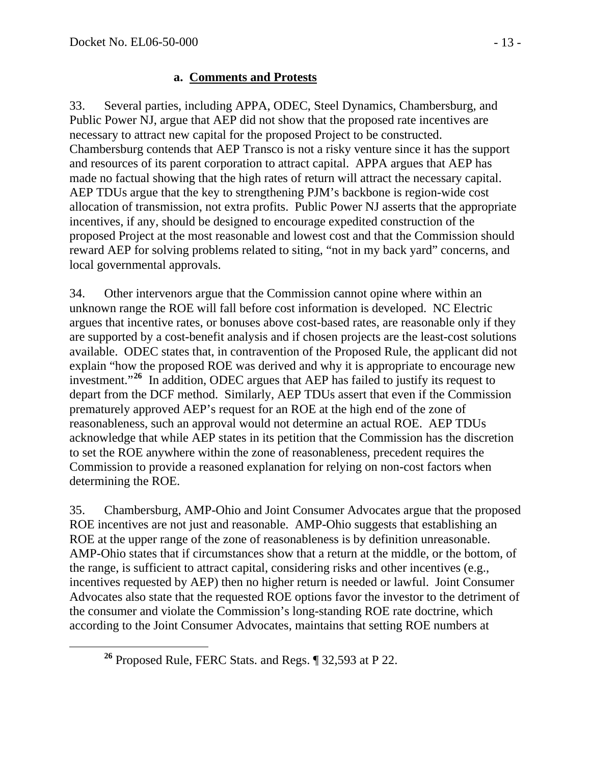#### **a. Comments and Protests**

33. Several parties, including APPA, ODEC, Steel Dynamics, Chambersburg, and Public Power NJ, argue that AEP did not show that the proposed rate incentives are necessary to attract new capital for the proposed Project to be constructed. Chambersburg contends that AEP Transco is not a risky venture since it has the support and resources of its parent corporation to attract capital. APPA argues that AEP has made no factual showing that the high rates of return will attract the necessary capital. AEP TDUs argue that the key to strengthening PJM's backbone is region-wide cost allocation of transmission, not extra profits. Public Power NJ asserts that the appropriate incentives, if any, should be designed to encourage expedited construction of the proposed Project at the most reasonable and lowest cost and that the Commission should reward AEP for solving problems related to siting, "not in my back yard" concerns, and local governmental approvals.

34. Other intervenors argue that the Commission cannot opine where within an unknown range the ROE will fall before cost information is developed. NC Electric argues that incentive rates, or bonuses above cost-based rates, are reasonable only if they are supported by a cost-benefit analysis and if chosen projects are the least-cost solutions available. ODEC states that, in contravention of the Proposed Rule, the applicant did not explain "how the proposed ROE was derived and why it is appropriate to encourage new investment."**[26](#page-12-0)** In addition, ODEC argues that AEP has failed to justify its request to depart from the DCF method. Similarly, AEP TDUs assert that even if the Commission prematurely approved AEP's request for an ROE at the high end of the zone of reasonableness, such an approval would not determine an actual ROE. AEP TDUs acknowledge that while AEP states in its petition that the Commission has the discretion to set the ROE anywhere within the zone of reasonableness, precedent requires the Commission to provide a reasoned explanation for relying on non-cost factors when determining the ROE.

35. Chambersburg, AMP-Ohio and Joint Consumer Advocates argue that the proposed ROE incentives are not just and reasonable. AMP-Ohio suggests that establishing an ROE at the upper range of the zone of reasonableness is by definition unreasonable. AMP-Ohio states that if circumstances show that a return at the middle, or the bottom, of the range, is sufficient to attract capital, considering risks and other incentives (e.g., incentives requested by AEP) then no higher return is needed or lawful. Joint Consumer Advocates also state that the requested ROE options favor the investor to the detriment of the consumer and violate the Commission's long-standing ROE rate doctrine, which according to the Joint Consumer Advocates, maintains that setting ROE numbers at

<span id="page-12-0"></span>**<sup>26</sup>** Proposed Rule, FERC Stats. and Regs. ¶ 32,593 at P 22.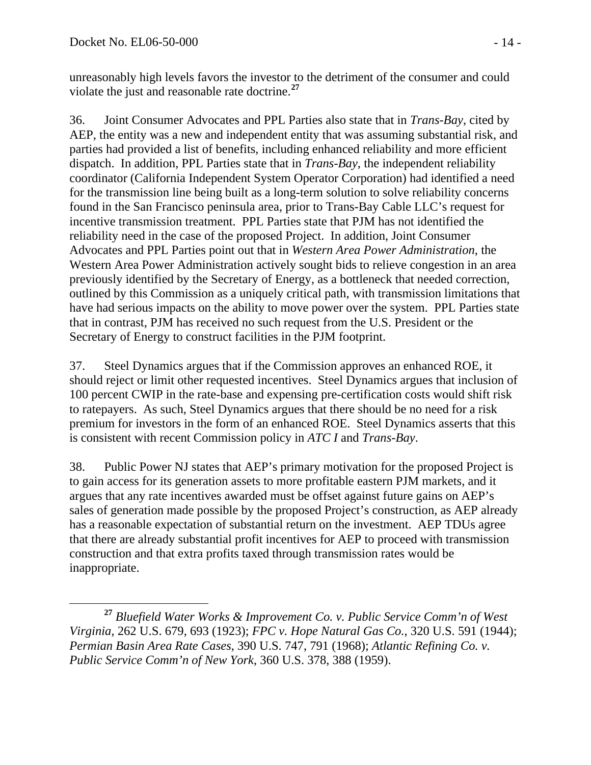unreasonably high levels favors the investor to the detriment of the consumer and could violate the just and reasonable rate doctrine.**[27](#page-13-0)**

36. Joint Consumer Advocates and PPL Parties also state that in *Trans-Bay*, cited by AEP, the entity was a new and independent entity that was assuming substantial risk, and parties had provided a list of benefits, including enhanced reliability and more efficient dispatch. In addition, PPL Parties state that in *Trans-Bay*, the independent reliability coordinator (California Independent System Operator Corporation) had identified a need for the transmission line being built as a long-term solution to solve reliability concerns found in the San Francisco peninsula area, prior to Trans-Bay Cable LLC's request for incentive transmission treatment. PPL Parties state that PJM has not identified the reliability need in the case of the proposed Project. In addition, Joint Consumer Advocates and PPL Parties point out that in *Western Area Power Administration*, the Western Area Power Administration actively sought bids to relieve congestion in an area previously identified by the Secretary of Energy, as a bottleneck that needed correction, outlined by this Commission as a uniquely critical path, with transmission limitations that have had serious impacts on the ability to move power over the system. PPL Parties state that in contrast, PJM has received no such request from the U.S. President or the Secretary of Energy to construct facilities in the PJM footprint.

37. Steel Dynamics argues that if the Commission approves an enhanced ROE, it should reject or limit other requested incentives. Steel Dynamics argues that inclusion of 100 percent CWIP in the rate-base and expensing pre-certification costs would shift risk to ratepayers. As such, Steel Dynamics argues that there should be no need for a risk premium for investors in the form of an enhanced ROE. Steel Dynamics asserts that this is consistent with recent Commission policy in *ATC I* and *Trans-Bay*.

38. Public Power NJ states that AEP's primary motivation for the proposed Project is to gain access for its generation assets to more profitable eastern PJM markets, and it argues that any rate incentives awarded must be offset against future gains on AEP's sales of generation made possible by the proposed Project's construction, as AEP already has a reasonable expectation of substantial return on the investment. AEP TDUs agree that there are already substantial profit incentives for AEP to proceed with transmission construction and that extra profits taxed through transmission rates would be inappropriate.

<span id="page-13-0"></span>**<sup>27</sup>** *Bluefield Water Works & Improvement Co. v. Public Service Comm'n of West Virginia*, 262 U.S. 679, 693 (1923); *FPC v. Hope Natural Gas Co.*, 320 U.S. 591 (1944); *Permian Basin Area Rate Cases*, 390 U.S. 747, 791 (1968); *Atlantic Refining Co. v. Public Service Comm'n of New York*, 360 U.S. 378, 388 (1959).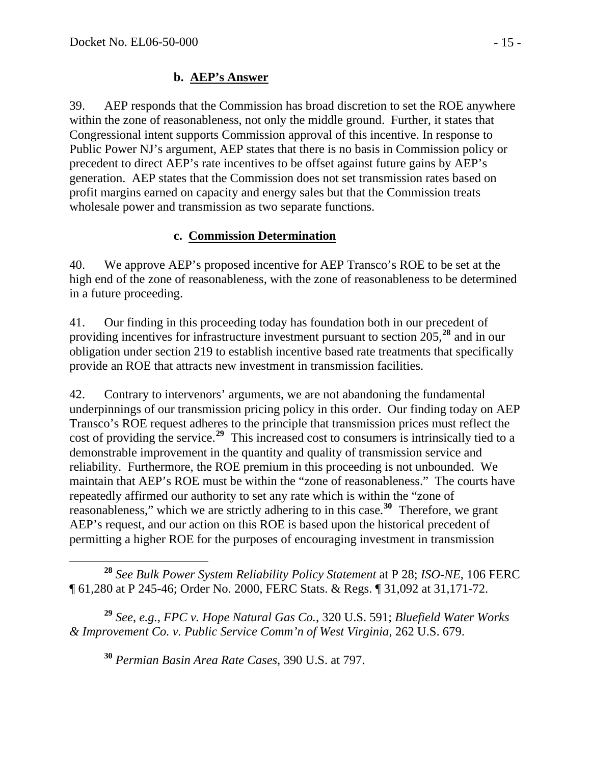#### **b. AEP's Answer**

39. AEP responds that the Commission has broad discretion to set the ROE anywhere within the zone of reasonableness, not only the middle ground. Further, it states that Congressional intent supports Commission approval of this incentive. In response to Public Power NJ's argument, AEP states that there is no basis in Commission policy or precedent to direct AEP's rate incentives to be offset against future gains by AEP's generation. AEP states that the Commission does not set transmission rates based on profit margins earned on capacity and energy sales but that the Commission treats wholesale power and transmission as two separate functions.

### **c. Commission Determination**

40. We approve AEP's proposed incentive for AEP Transco's ROE to be set at the high end of the zone of reasonableness, with the zone of reasonableness to be determined in a future proceeding.

41. Our finding in this proceeding today has foundation both in our precedent of providing incentives for infrastructure investment pursuant to section 205,**[28](#page-14-0)** and in our obligation under section 219 to establish incentive based rate treatments that specifically provide an ROE that attracts new investment in transmission facilities.

42. Contrary to intervenors' arguments, we are not abandoning the fundamental underpinnings of our transmission pricing policy in this order. Our finding today on AEP Transco's ROE request adheres to the principle that transmission prices must reflect the cost of providing the service.**[29](#page-14-1)** This increased cost to consumers is intrinsically tied to a demonstrable improvement in the quantity and quality of transmission service and reliability. Furthermore, the ROE premium in this proceeding is not unbounded. We maintain that AEP's ROE must be within the "zone of reasonableness." The courts have repeatedly affirmed our authority to set any rate which is within the "zone of reasonableness," which we are strictly adhering to in this case.**[30](#page-14-2)** Therefore, we grant AEP's request, and our action on this ROE is based upon the historical precedent of permitting a higher ROE for the purposes of encouraging investment in transmission

<span id="page-14-0"></span> **<sup>28</sup>** *See Bulk Power System Reliability Policy Statement* at P 28; *ISO-NE*, 106 FERC ¶ 61,280 at P 245-46; Order No. 2000, FERC Stats. & Regs. ¶ 31,092 at 31,171-72.

<span id="page-14-2"></span><span id="page-14-1"></span>**<sup>29</sup>** *See*, *e.g.*, *FPC v. Hope Natural Gas Co.*, 320 U.S. 591; *Bluefield Water Works & Improvement Co. v. Public Service Comm'n of West Virginia*, 262 U.S. 679.

**<sup>30</sup>** *Permian Basin Area Rate Cases*, 390 U.S. at 797.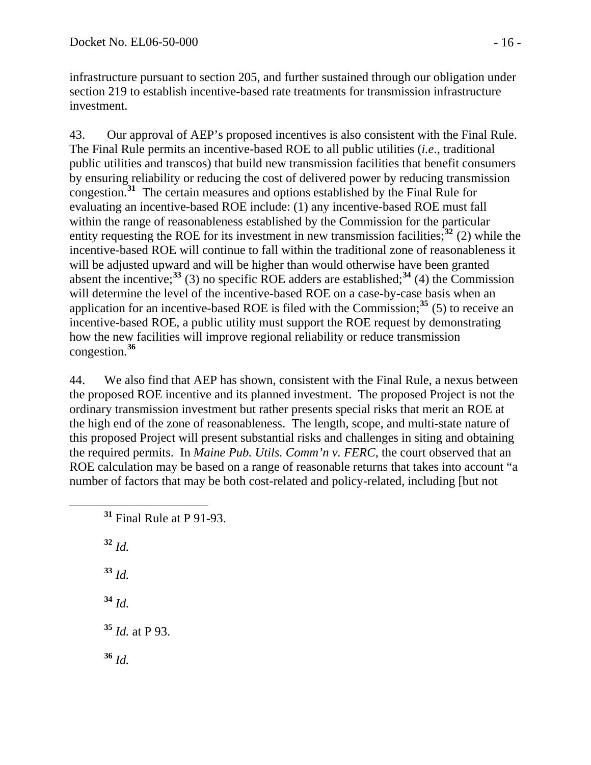infrastructure pursuant to section 205, and further sustained through our obligation under section 219 to establish incentive-based rate treatments for transmission infrastructure investment.

43. Our approval of AEP's proposed incentives is also consistent with the Final Rule. The Final Rule permits an incentive-based ROE to all public utilities (*i.e*., traditional public utilities and transcos) that build new transmission facilities that benefit consumers by ensuring reliability or reducing the cost of delivered power by reducing transmission congestion.**[31](#page-15-0)** The certain measures and options established by the Final Rule for evaluating an incentive-based ROE include: (1) any incentive-based ROE must fall within the range of reasonableness established by the Commission for the particular entity requesting the ROE for its investment in new transmission facilities;  $32^{2}$  $32^{2}$  (2) while the incentive-based ROE will continue to fall within the traditional zone of reasonableness it will be adjusted upward and will be higher than would otherwise have been granted absent the incentive;<sup>[33](#page-15-2)</sup> (3) no specific ROE adders are established;<sup>[34](#page-15-3)</sup> (4) the Commission will determine the level of the incentive-based ROE on a case-by-case basis when an application for an incentive-based ROE is filed with the Commission;**[35](#page-15-4)** (5) to receive an incentive-based ROE, a public utility must support the ROE request by demonstrating how the new facilities will improve regional reliability or reduce transmission congestion.**[36](#page-15-5)**

44. We also find that AEP has shown, consistent with the Final Rule, a nexus between the proposed ROE incentive and its planned investment. The proposed Project is not the ordinary transmission investment but rather presents special risks that merit an ROE at the high end of the zone of reasonableness. The length, scope, and multi-state nature of this proposed Project will present substantial risks and challenges in siting and obtaining the required permits. In *Maine Pub. Utils. Comm'n v. FERC*, the court observed that an ROE calculation may be based on a range of reasonable returns that takes into account "a number of factors that may be both cost-related and policy-related, including [but not

**<sup>31</sup>** Final Rule at P 91-93.

<span id="page-15-1"></span><span id="page-15-0"></span>**<sup>32</sup>** *Id.* **<sup>33</sup>** *Id.*

<span id="page-15-2"></span>**<sup>34</sup>** *Id.*

<span id="page-15-3"></span>**<sup>35</sup>** *Id.* at P 93.

<span id="page-15-5"></span><span id="page-15-4"></span>**<sup>36</sup>** *Id.*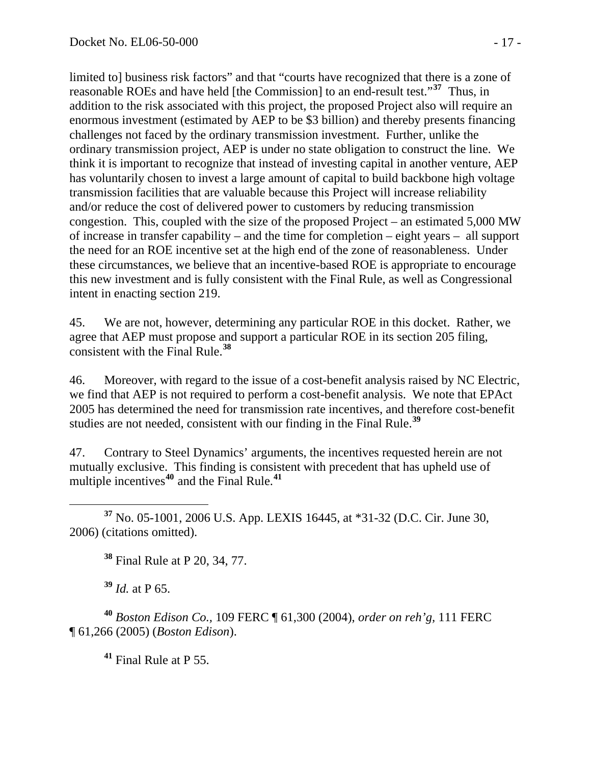limited to] business risk factors" and that "courts have recognized that there is a zone of reasonable ROEs and have held [the Commission] to an end-result test."**[37](#page-16-0)** Thus, in addition to the risk associated with this project, the proposed Project also will require an enormous investment (estimated by AEP to be \$3 billion) and thereby presents financing challenges not faced by the ordinary transmission investment. Further, unlike the ordinary transmission project, AEP is under no state obligation to construct the line. We think it is important to recognize that instead of investing capital in another venture, AEP has voluntarily chosen to invest a large amount of capital to build backbone high voltage transmission facilities that are valuable because this Project will increase reliability and/or reduce the cost of delivered power to customers by reducing transmission congestion. This, coupled with the size of the proposed Project – an estimated 5,000 MW of increase in transfer capability – and the time for completion – eight years – all support the need for an ROE incentive set at the high end of the zone of reasonableness. Under these circumstances, we believe that an incentive-based ROE is appropriate to encourage this new investment and is fully consistent with the Final Rule, as well as Congressional intent in enacting section 219.

45. We are not, however, determining any particular ROE in this docket. Rather, we agree that AEP must propose and support a particular ROE in its section 205 filing, consistent with the Final Rule.**[38](#page-16-1)**

46. Moreover, with regard to the issue of a cost-benefit analysis raised by NC Electric, we find that AEP is not required to perform a cost-benefit analysis. We note that EPAct 2005 has determined the need for transmission rate incentives, and therefore cost-benefit studies are not needed, consistent with our finding in the Final Rule.**[39](#page-16-2)**

47. Contrary to Steel Dynamics' arguments, the incentives requested herein are not mutually exclusive. This finding is consistent with precedent that has upheld use of multiple incentives**[40](#page-16-3)** and the Final Rule.**[41](#page-16-4)**

<span id="page-16-1"></span><span id="page-16-0"></span> **<sup>37</sup>** No. 05-1001, 2006 U.S. App. LEXIS 16445, at \*31-32 (D.C. Cir. June 30, 2006) (citations omitted).

**<sup>38</sup>** Final Rule at P 20, 34, 77.

**<sup>39</sup>** *Id.* at P 65.

<span id="page-16-4"></span><span id="page-16-3"></span><span id="page-16-2"></span>**<sup>40</sup>** *Boston Edison Co.,* 109 FERC ¶ 61,300 (2004), *order on reh'g,* 111 FERC ¶ 61,266 (2005) (*Boston Edison*).

**<sup>41</sup>** Final Rule at P 55.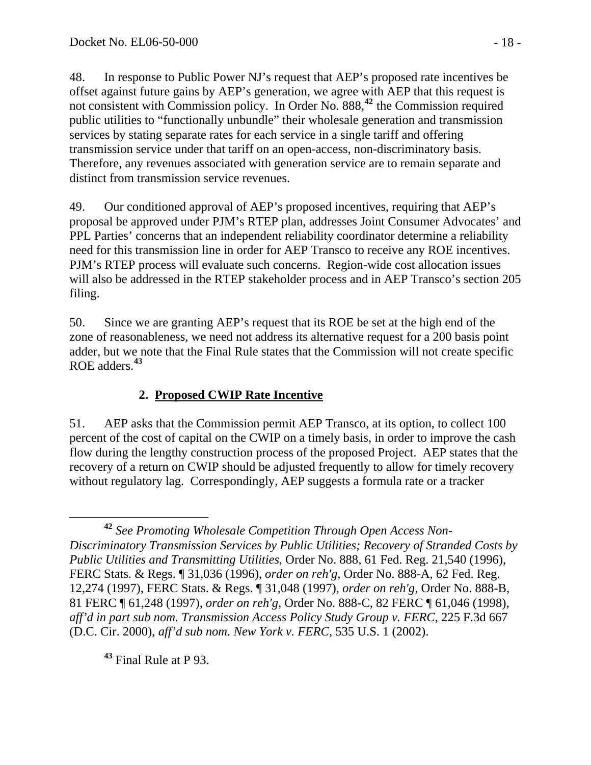48. In response to Public Power NJ's request that AEP's proposed rate incentives be offset against future gains by AEP's generation, we agree with AEP that this request is not consistent with Commission policy. In Order No. 888,**[42](#page-17-0)** the Commission required public utilities to "functionally unbundle" their wholesale generation and transmission services by stating separate rates for each service in a single tariff and offering transmission service under that tariff on an open-access, non-discriminatory basis. Therefore, any revenues associated with generation service are to remain separate and distinct from transmission service revenues.

49. Our conditioned approval of AEP's proposed incentives, requiring that AEP's proposal be approved under PJM's RTEP plan, addresses Joint Consumer Advocates' and PPL Parties' concerns that an independent reliability coordinator determine a reliability need for this transmission line in order for AEP Transco to receive any ROE incentives. PJM's RTEP process will evaluate such concerns. Region-wide cost allocation issues will also be addressed in the RTEP stakeholder process and in AEP Transco's section 205 filing.

50. Since we are granting AEP's request that its ROE be set at the high end of the zone of reasonableness, we need not address its alternative request for a 200 basis point adder, but we note that the Final Rule states that the Commission will not create specific ROE adders.**[43](#page-17-1)**

# **2. Proposed CWIP Rate Incentive**

51. AEP asks that the Commission permit AEP Transco, at its option, to collect 100 percent of the cost of capital on the CWIP on a timely basis, in order to improve the cash flow during the lengthy construction process of the proposed Project. AEP states that the recovery of a return on CWIP should be adjusted frequently to allow for timely recovery without regulatory lag. Correspondingly, AEP suggests a formula rate or a tracker

<span id="page-17-1"></span>**<sup>43</sup>** Final Rule at P 93.

<span id="page-17-0"></span>**<sup>42</sup>** *See Promoting Wholesale Competition Through Open Access Non-Discriminatory Transmission Services by Public Utilities; Recovery of Stranded Costs by Public Utilities and Transmitting Utilities*, Order No. 888, 61 Fed. Reg. 21,540 (1996), FERC Stats. & Regs. ¶ 31,036 (1996), *order on reh'g*, Order No. 888-A, 62 Fed. Reg. 12,274 (1997), FERC Stats. & Regs. ¶ 31,048 (1997), *order on reh'g*, Order No. 888-B, 81 FERC ¶ 61,248 (1997), *order on reh'g*, Order No. 888-C, 82 FERC ¶ 61,046 (1998), *aff'd in part sub nom. Transmission Access Policy Study Group v. FERC*, 225 F.3d 667 (D.C. Cir. 2000), *aff'd sub nom. New York v. FERC*, 535 U.S. 1 (2002).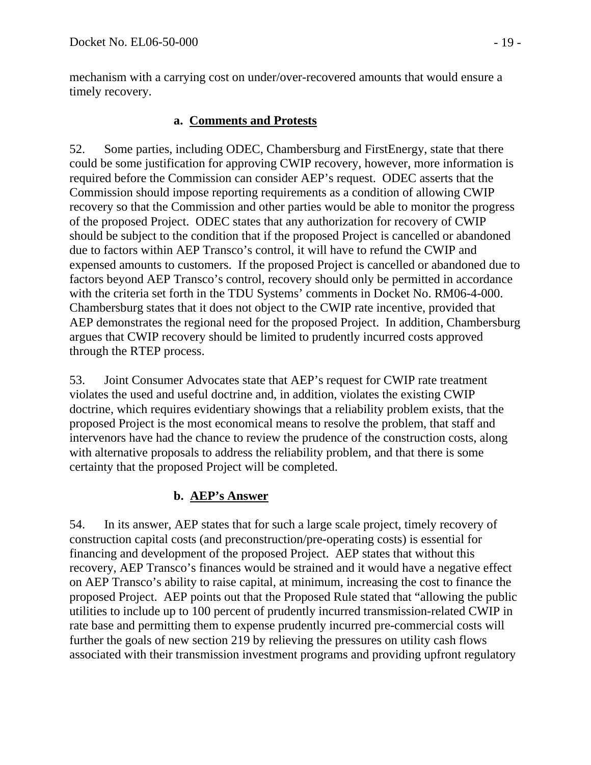mechanism with a carrying cost on under/over-recovered amounts that would ensure a timely recovery.

#### **a. Comments and Protests**

52. Some parties, including ODEC, Chambersburg and FirstEnergy, state that there could be some justification for approving CWIP recovery, however, more information is required before the Commission can consider AEP's request. ODEC asserts that the Commission should impose reporting requirements as a condition of allowing CWIP recovery so that the Commission and other parties would be able to monitor the progress of the proposed Project. ODEC states that any authorization for recovery of CWIP should be subject to the condition that if the proposed Project is cancelled or abandoned due to factors within AEP Transco's control, it will have to refund the CWIP and expensed amounts to customers. If the proposed Project is cancelled or abandoned due to factors beyond AEP Transco's control, recovery should only be permitted in accordance with the criteria set forth in the TDU Systems' comments in Docket No. RM06-4-000. Chambersburg states that it does not object to the CWIP rate incentive, provided that AEP demonstrates the regional need for the proposed Project. In addition, Chambersburg argues that CWIP recovery should be limited to prudently incurred costs approved through the RTEP process.

53. Joint Consumer Advocates state that AEP's request for CWIP rate treatment violates the used and useful doctrine and, in addition, violates the existing CWIP doctrine, which requires evidentiary showings that a reliability problem exists, that the proposed Project is the most economical means to resolve the problem, that staff and intervenors have had the chance to review the prudence of the construction costs, along with alternative proposals to address the reliability problem, and that there is some certainty that the proposed Project will be completed.

### **b. AEP's Answer**

54. In its answer, AEP states that for such a large scale project, timely recovery of construction capital costs (and preconstruction/pre-operating costs) is essential for financing and development of the proposed Project. AEP states that without this recovery, AEP Transco's finances would be strained and it would have a negative effect on AEP Transco's ability to raise capital, at minimum, increasing the cost to finance the proposed Project. AEP points out that the Proposed Rule stated that "allowing the public utilities to include up to 100 percent of prudently incurred transmission-related CWIP in rate base and permitting them to expense prudently incurred pre-commercial costs will further the goals of new section 219 by relieving the pressures on utility cash flows associated with their transmission investment programs and providing upfront regulatory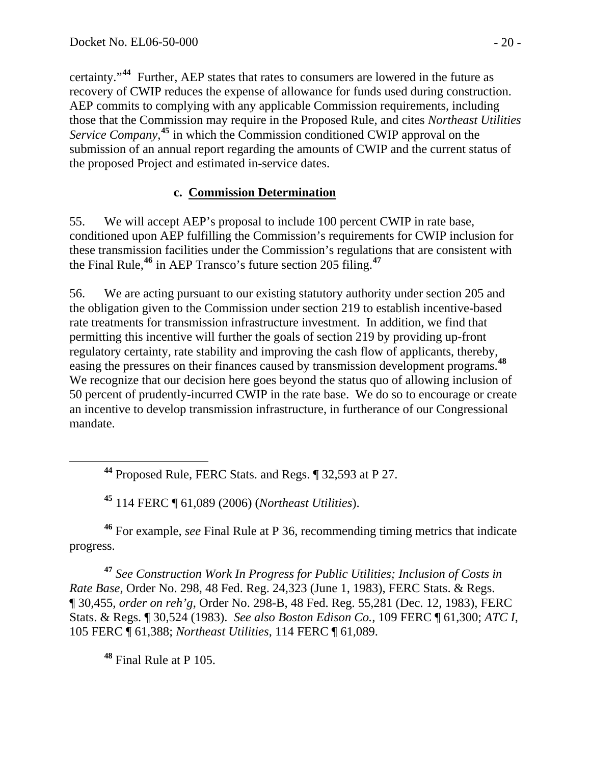certainty."**[44](#page-19-0)** Further, AEP states that rates to consumers are lowered in the future as recovery of CWIP reduces the expense of allowance for funds used during construction. AEP commits to complying with any applicable Commission requirements, including those that the Commission may require in the Proposed Rule, and cites *Northeast Utilities*  Service Company,<sup>[45](#page-19-1)</sup> in which the Commission conditioned CWIP approval on the submission of an annual report regarding the amounts of CWIP and the current status of the proposed Project and estimated in-service dates.

#### **c. Commission Determination**

55. We will accept AEP's proposal to include 100 percent CWIP in rate base, conditioned upon AEP fulfilling the Commission's requirements for CWIP inclusion for these transmission facilities under the Commission's regulations that are consistent with the Final Rule,**[46](#page-19-2)** in AEP Transco's future section 205 filing.**[47](#page-19-3)**

56. We are acting pursuant to our existing statutory authority under section 205 and the obligation given to the Commission under section 219 to establish incentive-based rate treatments for transmission infrastructure investment. In addition, we find that permitting this incentive will further the goals of section 219 by providing up-front regulatory certainty, rate stability and improving the cash flow of applicants, thereby, easing the pressures on their finances caused by transmission development programs.**[48](#page-19-4)** We recognize that our decision here goes beyond the status quo of allowing inclusion of 50 percent of prudently-incurred CWIP in the rate base. We do so to encourage or create an incentive to develop transmission infrastructure, in furtherance of our Congressional mandate.

**<sup>45</sup>** 114 FERC ¶ 61,089 (2006) (*Northeast Utilities*).

<span id="page-19-2"></span><span id="page-19-1"></span><span id="page-19-0"></span>**<sup>46</sup>** For example, *see* Final Rule at P 36, recommending timing metrics that indicate progress.

<span id="page-19-3"></span>**<sup>47</sup>** *See Construction Work In Progress for Public Utilities; Inclusion of Costs in Rate Base,* Order No. 298, 48 Fed. Reg. 24,323 (June 1, 1983), FERC Stats. & Regs. ¶ 30,455, *order on reh'g*, Order No. 298-B, 48 Fed. Reg. 55,281 (Dec. 12, 1983), FERC Stats. & Regs. ¶ 30,524 (1983). *See also Boston Edison Co.,* 109 FERC ¶ 61,300; *ATC I*, 105 FERC ¶ 61,388; *Northeast Utilities*, 114 FERC ¶ 61,089.

<span id="page-19-4"></span>**<sup>48</sup>** Final Rule at P 105.

**<sup>44</sup>** Proposed Rule, FERC Stats. and Regs. ¶ 32,593 at P 27.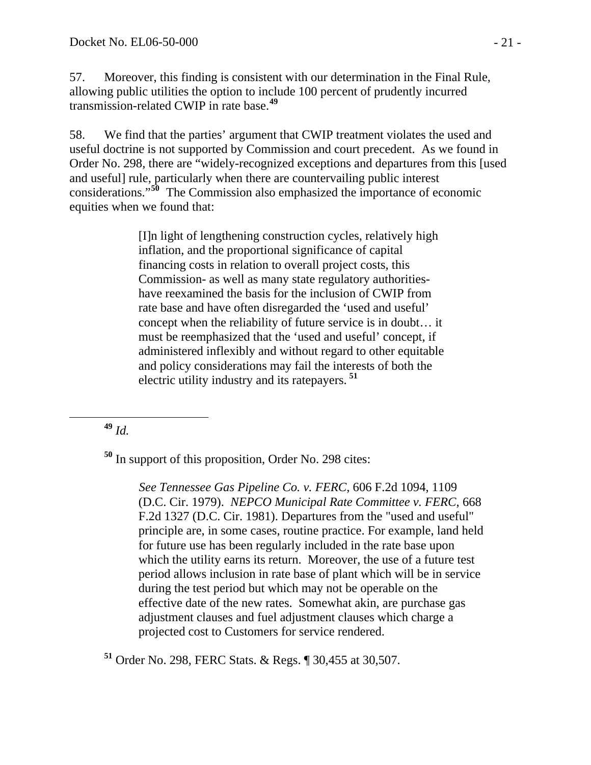57. Moreover, this finding is consistent with our determination in the Final Rule, allowing public utilities the option to include 100 percent of prudently incurred transmission-related CWIP in rate base.**[49](#page-20-0)**

58. We find that the parties' argument that CWIP treatment violates the used and useful doctrine is not supported by Commission and court precedent. As we found in Order No. 298*,* there are "widely-recognized exceptions and departures from this [used and useful] rule, particularly when there are countervailing public interest considerations."**[50](#page-20-1)** The Commission also emphasized the importance of economic equities when we found that:

> [I]n light of lengthening construction cycles, relatively high inflation, and the proportional significance of capital financing costs in relation to overall project costs, this Commission- as well as many state regulatory authoritieshave reexamined the basis for the inclusion of CWIP from rate base and have often disregarded the 'used and useful' concept when the reliability of future service is in doubt… it must be reemphasized that the 'used and useful' concept, if administered inflexibly and without regard to other equitable and policy considerations may fail the interests of both the electric utility industry and its ratepayers. **[51](#page-20-2)**

<span id="page-20-0"></span>**<sup>49</sup>** *Id.*

<span id="page-20-1"></span>**<sup>50</sup>** In support of this proposition, Order No. 298 cites:

 *See Tennessee Gas Pipeline Co. v. FERC*, 606 F.2d 1094, 1109 (D.C. Cir. 1979). *NEPCO Municipal Rate Committee v. FERC*, 668 F.2d 1327 (D.C. Cir. 1981). Departures from the "used and useful" principle are, in some cases, routine practice. For example, land held for future use has been regularly included in the rate base upon which the utility earns its return. Moreover, the use of a future test period allows inclusion in rate base of plant which will be in service during the test period but which may not be operable on the effective date of the new rates. Somewhat akin, are purchase gas adjustment clauses and fuel adjustment clauses which charge a projected cost to Customers for service rendered.

<span id="page-20-2"></span>**<sup>51</sup>** Order No. 298, FERC Stats. & Regs. ¶ 30,455 at 30,507.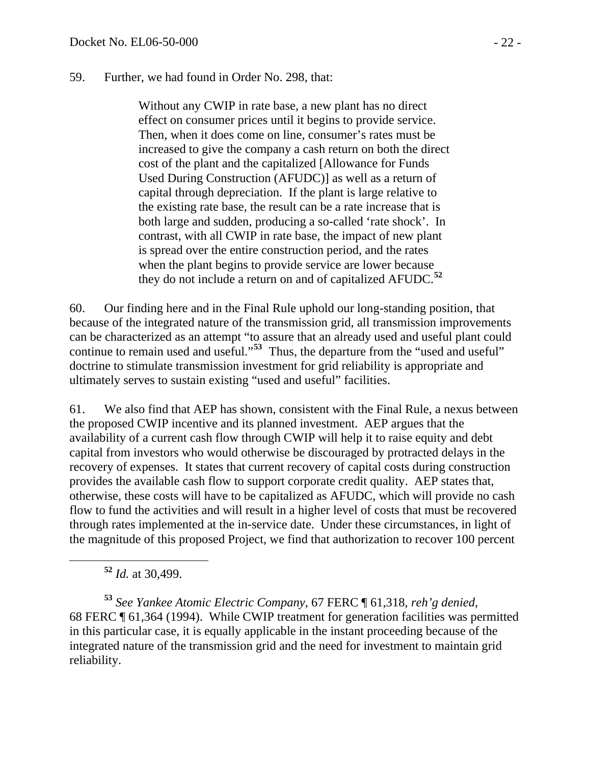#### 59. Further, we had found in Order No. 298, that:

Without any CWIP in rate base, a new plant has no direct effect on consumer prices until it begins to provide service. Then, when it does come on line, consumer's rates must be increased to give the company a cash return on both the direct cost of the plant and the capitalized [Allowance for Funds Used During Construction (AFUDC)] as well as a return of capital through depreciation. If the plant is large relative to the existing rate base, the result can be a rate increase that is both large and sudden, producing a so-called 'rate shock'. In contrast, with all CWIP in rate base, the impact of new plant is spread over the entire construction period, and the rates when the plant begins to provide service are lower because they do not include a return on and of capitalized AFUDC.**[52](#page-21-0)**

60. Our finding here and in the Final Rule uphold our long-standing position, that because of the integrated nature of the transmission grid, all transmission improvements can be characterized as an attempt "to assure that an already used and useful plant could continue to remain used and useful."<sup>[53](#page-21-1)</sup> Thus, the departure from the "used and useful" doctrine to stimulate transmission investment for grid reliability is appropriate and ultimately serves to sustain existing "used and useful" facilities.

61. We also find that AEP has shown, consistent with the Final Rule, a nexus between the proposed CWIP incentive and its planned investment. AEP argues that the availability of a current cash flow through CWIP will help it to raise equity and debt capital from investors who would otherwise be discouraged by protracted delays in the recovery of expenses. It states that current recovery of capital costs during construction provides the available cash flow to support corporate credit quality. AEP states that, otherwise, these costs will have to be capitalized as AFUDC, which will provide no cash flow to fund the activities and will result in a higher level of costs that must be recovered through rates implemented at the in-service date. Under these circumstances, in light of the magnitude of this proposed Project, we find that authorization to recover 100 percent

**<sup>52</sup>** *Id.* at 30,499.

<span id="page-21-1"></span><span id="page-21-0"></span>**<sup>53</sup>** *See Yankee Atomic Electric Company*, 67 FERC ¶ 61,318, *reh'g denied*, 68 FERC ¶ 61,364 (1994). While CWIP treatment for generation facilities was permitted in this particular case, it is equally applicable in the instant proceeding because of the integrated nature of the transmission grid and the need for investment to maintain grid reliability.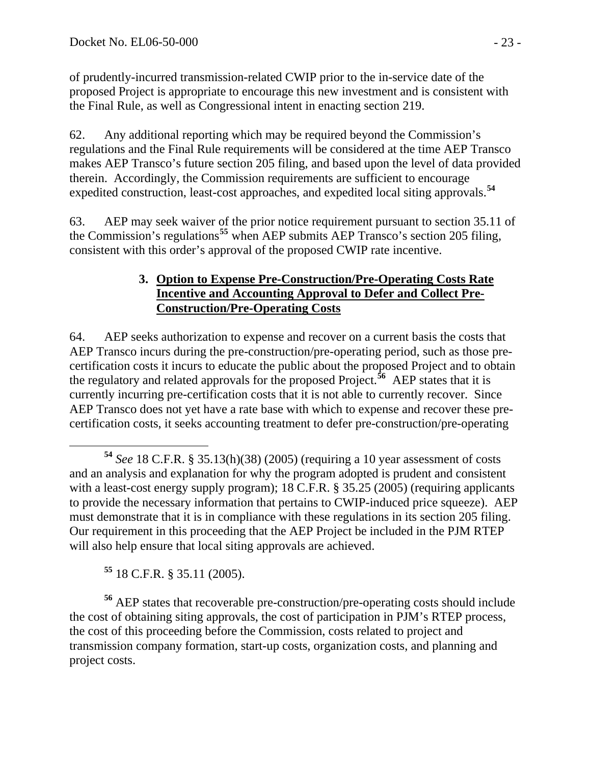of prudently-incurred transmission-related CWIP prior to the in-service date of the proposed Project is appropriate to encourage this new investment and is consistent with the Final Rule, as well as Congressional intent in enacting section 219.

62. Any additional reporting which may be required beyond the Commission's regulations and the Final Rule requirements will be considered at the time AEP Transco makes AEP Transco's future section 205 filing, and based upon the level of data provided therein. Accordingly, the Commission requirements are sufficient to encourage expedited construction, least-cost approaches, and expedited local siting approvals.**[54](#page-22-0)**

63. AEP may seek waiver of the prior notice requirement pursuant to section 35.11 of the Commission's regulations**[55](#page-22-1)** when AEP submits AEP Transco's section 205 filing, consistent with this order's approval of the proposed CWIP rate incentive.

#### **3. Option to Expense Pre-Construction/Pre-Operating Costs Rate Incentive and Accounting Approval to Defer and Collect Pre-Construction/Pre-Operating Costs**

64. AEP seeks authorization to expense and recover on a current basis the costs that AEP Transco incurs during the pre-construction/pre-operating period, such as those precertification costs it incurs to educate the public about the proposed Project and to obtain the regulatory and related approvals for the proposed Project.**[56](#page-22-2)** AEP states that it is currently incurring pre-certification costs that it is not able to currently recover. Since AEP Transco does not yet have a rate base with which to expense and recover these precertification costs, it seeks accounting treatment to defer pre-construction/pre-operating

**<sup>55</sup>** 18 C.F.R. § 35.11 (2005).

<span id="page-22-2"></span><span id="page-22-1"></span>**<sup>56</sup>** AEP states that recoverable pre-construction/pre-operating costs should include the cost of obtaining siting approvals, the cost of participation in PJM's RTEP process, the cost of this proceeding before the Commission, costs related to project and transmission company formation, start-up costs, organization costs, and planning and project costs.

<span id="page-22-0"></span>**<sup>54</sup>** *See* 18 C.F.R. § 35.13(h)(38) (2005) (requiring a 10 year assessment of costs and an analysis and explanation for why the program adopted is prudent and consistent with a least-cost energy supply program); 18 C.F.R. § 35.25 (2005) (requiring applicants to provide the necessary information that pertains to CWIP-induced price squeeze). AEP must demonstrate that it is in compliance with these regulations in its section 205 filing. Our requirement in this proceeding that the AEP Project be included in the PJM RTEP will also help ensure that local siting approvals are achieved.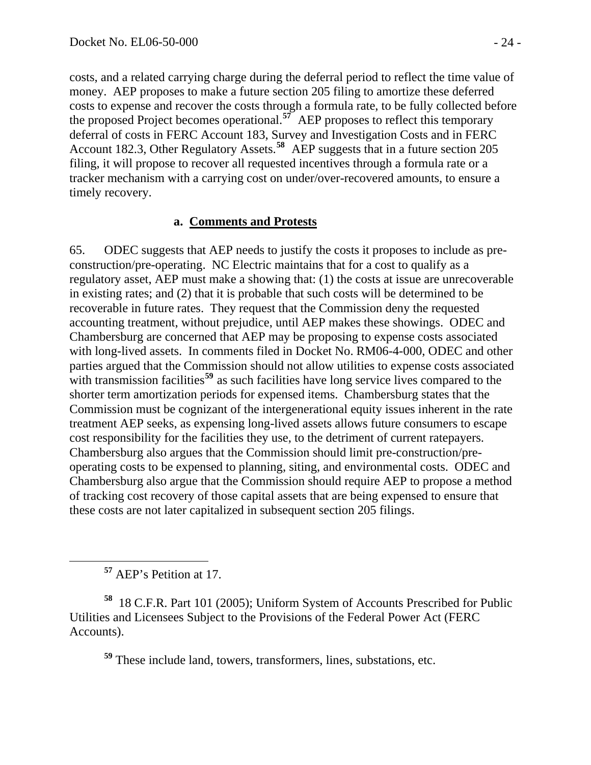costs, and a related carrying charge during the deferral period to reflect the time value of money. AEP proposes to make a future section 205 filing to amortize these deferred costs to expense and recover the costs through a formula rate, to be fully collected before the proposed Project becomes operational.**[57](#page-23-0)** AEP proposes to reflect this temporary deferral of costs in FERC Account 183, Survey and Investigation Costs and in FERC Account 182.3, Other Regulatory Assets.**[58](#page-23-1)** AEP suggests that in a future section 205 filing, it will propose to recover all requested incentives through a formula rate or a tracker mechanism with a carrying cost on under/over-recovered amounts, to ensure a timely recovery.

#### **a. Comments and Protests**

65. ODEC suggests that AEP needs to justify the costs it proposes to include as preconstruction/pre-operating. NC Electric maintains that for a cost to qualify as a regulatory asset, AEP must make a showing that: (1) the costs at issue are unrecoverable in existing rates; and (2) that it is probable that such costs will be determined to be recoverable in future rates. They request that the Commission deny the requested accounting treatment, without prejudice, until AEP makes these showings. ODEC and Chambersburg are concerned that AEP may be proposing to expense costs associated with long-lived assets. In comments filed in Docket No. RM06-4-000, ODEC and other parties argued that the Commission should not allow utilities to expense costs associated with transmission facilities<sup>[59](#page-23-2)</sup> as such facilities have long service lives compared to the shorter term amortization periods for expensed items. Chambersburg states that the Commission must be cognizant of the intergenerational equity issues inherent in the rate treatment AEP seeks, as expensing long-lived assets allows future consumers to escape cost responsibility for the facilities they use, to the detriment of current ratepayers. Chambersburg also argues that the Commission should limit pre-construction/preoperating costs to be expensed to planning, siting, and environmental costs. ODEC and Chambersburg also argue that the Commission should require AEP to propose a method of tracking cost recovery of those capital assets that are being expensed to ensure that these costs are not later capitalized in subsequent section 205 filings.

**<sup>57</sup>** AEP's Petition at 17.

<span id="page-23-2"></span><span id="page-23-1"></span><span id="page-23-0"></span>**<sup>58</sup>** 18 C.F.R. Part 101 (2005); Uniform System of Accounts Prescribed for Public Utilities and Licensees Subject to the Provisions of the Federal Power Act (FERC Accounts).

**<sup>59</sup>** These include land, towers, transformers, lines, substations, etc.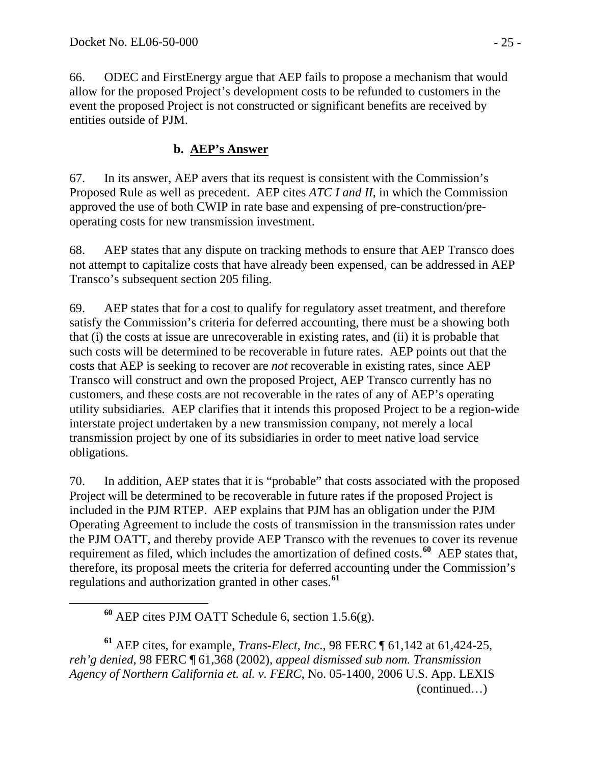66. ODEC and FirstEnergy argue that AEP fails to propose a mechanism that would allow for the proposed Project's development costs to be refunded to customers in the event the proposed Project is not constructed or significant benefits are received by entities outside of PJM.

#### **b. AEP's Answer**

67. In its answer, AEP avers that its request is consistent with the Commission's Proposed Rule as well as precedent. AEP cites *ATC I and II*, in which the Commission approved the use of both CWIP in rate base and expensing of pre-construction/preoperating costs for new transmission investment.

68. AEP states that any dispute on tracking methods to ensure that AEP Transco does not attempt to capitalize costs that have already been expensed, can be addressed in AEP Transco's subsequent section 205 filing.

69. AEP states that for a cost to qualify for regulatory asset treatment, and therefore satisfy the Commission's criteria for deferred accounting, there must be a showing both that (i) the costs at issue are unrecoverable in existing rates, and (ii) it is probable that such costs will be determined to be recoverable in future rates. AEP points out that the costs that AEP is seeking to recover are *not* recoverable in existing rates, since AEP Transco will construct and own the proposed Project, AEP Transco currently has no customers, and these costs are not recoverable in the rates of any of AEP's operating utility subsidiaries. AEP clarifies that it intends this proposed Project to be a region-wide interstate project undertaken by a new transmission company, not merely a local transmission project by one of its subsidiaries in order to meet native load service obligations.

70. In addition, AEP states that it is "probable" that costs associated with the proposed Project will be determined to be recoverable in future rates if the proposed Project is included in the PJM RTEP. AEP explains that PJM has an obligation under the PJM Operating Agreement to include the costs of transmission in the transmission rates under the PJM OATT, and thereby provide AEP Transco with the revenues to cover its revenue requirement as filed, which includes the amortization of defined costs.**[60](#page-24-0)** AEP states that, therefore, its proposal meets the criteria for deferred accounting under the Commission's regulations and authorization granted in other cases.**[61](#page-24-1)**

<span id="page-24-1"></span><span id="page-24-0"></span> (continued…) **<sup>61</sup>** AEP cites, for example, *Trans-Elect, Inc*., 98 FERC ¶ 61,142 at 61,424-25, *reh'g denied*, 98 FERC ¶ 61,368 (2002), *appeal dismissed sub nom. Transmission Agency of Northern California et. al. v. FERC*, No. 05-1400, 2006 U.S. App. LEXIS

**<sup>60</sup>** AEP cites PJM OATT Schedule 6, section 1.5.6(g).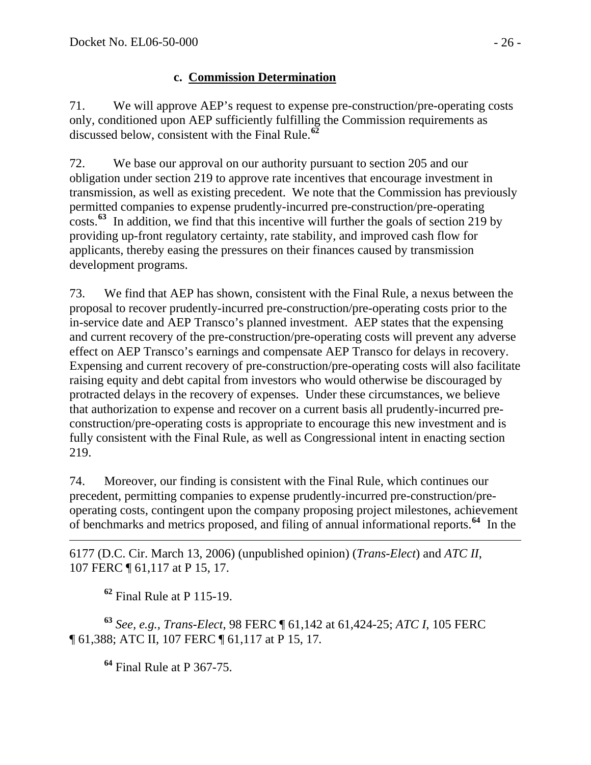## **c. Commission Determination**

71. We will approve AEP's request to expense pre-construction/pre-operating costs only, conditioned upon AEP sufficiently fulfilling the Commission requirements as discussed below, consistent with the Final Rule.**[62](#page-25-0)**

72. We base our approval on our authority pursuant to section 205 and our obligation under section 219 to approve rate incentives that encourage investment in transmission, as well as existing precedent. We note that the Commission has previously permitted companies to expense prudently-incurred pre-construction/pre-operating costs.**[63](#page-25-1)** In addition, we find that this incentive will further the goals of section 219 by providing up-front regulatory certainty, rate stability, and improved cash flow for applicants, thereby easing the pressures on their finances caused by transmission development programs.

73. We find that AEP has shown, consistent with the Final Rule, a nexus between the proposal to recover prudently-incurred pre-construction/pre-operating costs prior to the in-service date and AEP Transco's planned investment. AEP states that the expensing and current recovery of the pre-construction/pre-operating costs will prevent any adverse effect on AEP Transco's earnings and compensate AEP Transco for delays in recovery. Expensing and current recovery of pre-construction/pre-operating costs will also facilitate raising equity and debt capital from investors who would otherwise be discouraged by protracted delays in the recovery of expenses. Under these circumstances, we believe that authorization to expense and recover on a current basis all prudently-incurred preconstruction/pre-operating costs is appropriate to encourage this new investment and is fully consistent with the Final Rule, as well as Congressional intent in enacting section 219.

74. Moreover, our finding is consistent with the Final Rule, which continues our precedent, permitting companies to expense prudently-incurred pre-construction/preoperating costs, contingent upon the company proposing project milestones, achievement of benchmarks and metrics proposed, and filing of annual informational reports.**[64](#page-25-2)** In the

 $\overline{a}$ 6177 (D.C. Cir. March 13, 2006) (unpublished opinion) (*Trans-Elect*) and *ATC II*, 107 FERC ¶ 61,117 at P 15, 17.

**<sup>62</sup>** Final Rule at P 115-19.

<span id="page-25-2"></span><span id="page-25-1"></span><span id="page-25-0"></span>**<sup>63</sup>** *See, e.g., Trans-Elect*, 98 FERC ¶ 61,142 at 61,424-25; *ATC I*, 105 FERC ¶ 61,388; ATC II, 107 FERC ¶ 61,117 at P 15, 17*.* 

**<sup>64</sup>** Final Rule at P 367-75.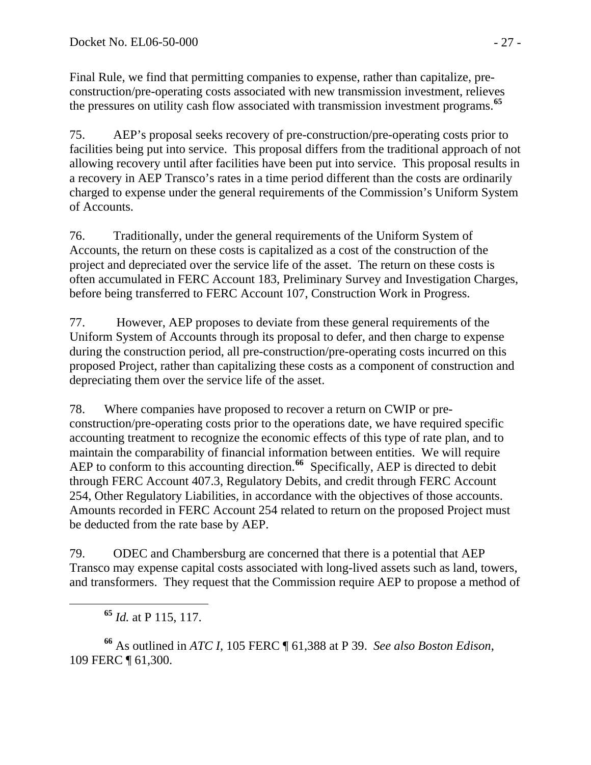Final Rule, we find that permitting companies to expense, rather than capitalize, preconstruction/pre-operating costs associated with new transmission investment, relieves the pressures on utility cash flow associated with transmission investment programs.**[65](#page-26-0)**

75. AEP's proposal seeks recovery of pre-construction/pre-operating costs prior to facilities being put into service. This proposal differs from the traditional approach of not allowing recovery until after facilities have been put into service. This proposal results in a recovery in AEP Transco's rates in a time period different than the costs are ordinarily charged to expense under the general requirements of the Commission's Uniform System of Accounts.

76. Traditionally, under the general requirements of the Uniform System of Accounts, the return on these costs is capitalized as a cost of the construction of the project and depreciated over the service life of the asset. The return on these costs is often accumulated in FERC Account 183, Preliminary Survey and Investigation Charges, before being transferred to FERC Account 107, Construction Work in Progress.

77. However, AEP proposes to deviate from these general requirements of the Uniform System of Accounts through its proposal to defer, and then charge to expense during the construction period, all pre-construction/pre-operating costs incurred on this proposed Project, rather than capitalizing these costs as a component of construction and depreciating them over the service life of the asset.

78. Where companies have proposed to recover a return on CWIP or preconstruction/pre-operating costs prior to the operations date, we have required specific accounting treatment to recognize the economic effects of this type of rate plan, and to maintain the comparability of financial information between entities. We will require AEP to conform to this accounting direction.**[66](#page-26-1)** Specifically, AEP is directed to debit through FERC Account 407.3, Regulatory Debits, and credit through FERC Account 254, Other Regulatory Liabilities, in accordance with the objectives of those accounts. Amounts recorded in FERC Account 254 related to return on the proposed Project must be deducted from the rate base by AEP.

79. ODEC and Chambersburg are concerned that there is a potential that AEP Transco may expense capital costs associated with long-lived assets such as land, towers, and transformers. They request that the Commission require AEP to propose a method of

**<sup>65</sup>** *Id.* at P 115, 117.

<span id="page-26-1"></span><span id="page-26-0"></span>**<sup>66</sup>** As outlined in *ATC I*, 105 FERC ¶ 61,388 at P 39. *See also Boston Edison*, 109 FERC ¶ 61,300.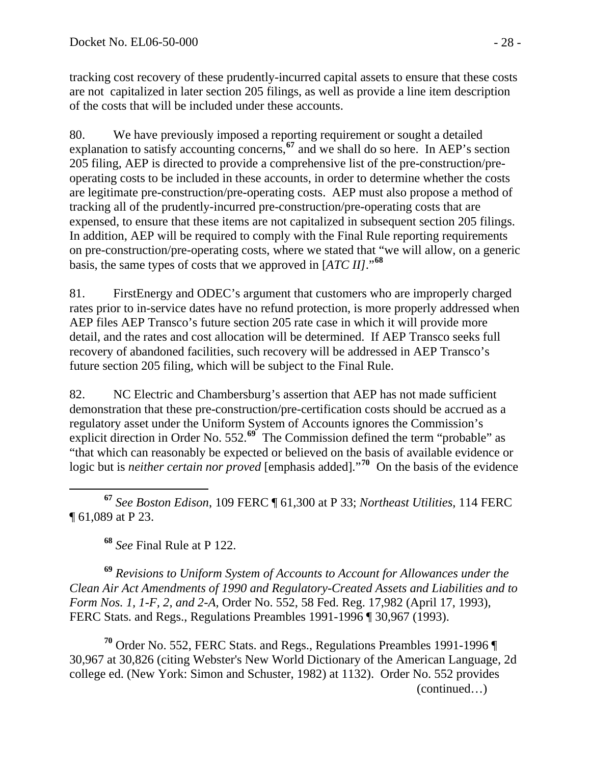tracking cost recovery of these prudently-incurred capital assets to ensure that these costs are not capitalized in later section 205 filings, as well as provide a line item description of the costs that will be included under these accounts.

80. We have previously imposed a reporting requirement or sought a detailed explanation to satisfy accounting concerns,**[67](#page-27-0)** and we shall do so here. In AEP's section 205 filing, AEP is directed to provide a comprehensive list of the pre-construction/preoperating costs to be included in these accounts, in order to determine whether the costs are legitimate pre-construction/pre-operating costs. AEP must also propose a method of tracking all of the prudently-incurred pre-construction/pre-operating costs that are expensed, to ensure that these items are not capitalized in subsequent section 205 filings. In addition, AEP will be required to comply with the Final Rule reporting requirements on pre-construction/pre-operating costs, where we stated that "we will allow, on a generic basis, the same types of costs that we approved in [*ATC II]*."**[68](#page-27-1)**

81. FirstEnergy and ODEC's argument that customers who are improperly charged rates prior to in-service dates have no refund protection, is more properly addressed when AEP files AEP Transco's future section 205 rate case in which it will provide more detail, and the rates and cost allocation will be determined. If AEP Transco seeks full recovery of abandoned facilities, such recovery will be addressed in AEP Transco's future section 205 filing, which will be subject to the Final Rule.

82. NC Electric and Chambersburg's assertion that AEP has not made sufficient demonstration that these pre-construction/pre-certification costs should be accrued as a regulatory asset under the Uniform System of Accounts ignores the Commission's explicit direction in Order No. 552.<sup>[69](#page-27-2)</sup> The Commission defined the term "probable" as "that which can reasonably be expected or believed on the basis of available evidence or logic but is *neither certain nor proved* [emphasis added]."**[70](#page-27-3)** On the basis of the evidence

<span id="page-27-0"></span> $\overline{a}$ **<sup>67</sup>** *See Boston Edison*, 109 FERC ¶ 61,300 at P 33; *Northeast Utilities*, 114 FERC ¶ 61,089 at P 23.

**<sup>68</sup>** *See* Final Rule at P 122.

<span id="page-27-2"></span><span id="page-27-1"></span>**<sup>69</sup>** *Revisions to Uniform System of Accounts to Account for Allowances under the Clean Air Act Amendments of 1990 and Regulatory-Created Assets and Liabilities and to Form Nos. 1, 1-F, 2, and 2-A,* Order No. 552, 58 Fed. Reg. 17,982 (April 17, 1993), FERC Stats. and Regs., Regulations Preambles 1991-1996 ¶ 30,967 (1993).

<span id="page-27-3"></span> (continued…) **<sup>70</sup>** Order No. 552, FERC Stats. and Regs., Regulations Preambles 1991-1996 ¶ 30,967 at 30,826 (citing Webster's New World Dictionary of the American Language, 2d college ed. (New York: Simon and Schuster, 1982) at 1132). Order No. 552 provides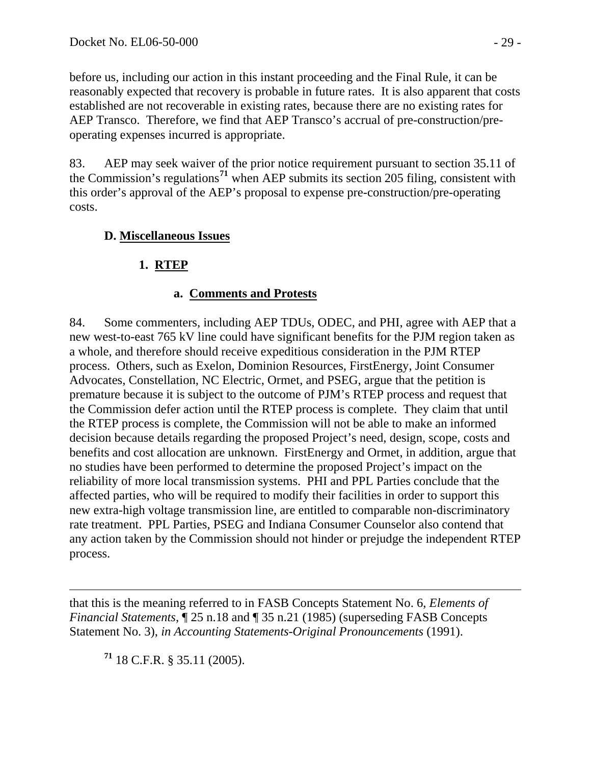before us, including our action in this instant proceeding and the Final Rule, it can be reasonably expected that recovery is probable in future rates. It is also apparent that costs established are not recoverable in existing rates, because there are no existing rates for AEP Transco. Therefore, we find that AEP Transco's accrual of pre-construction/preoperating expenses incurred is appropriate.

83. AEP may seek waiver of the prior notice requirement pursuant to section 35.11 of the Commission's regulations**[71](#page-28-0)** when AEP submits its section 205 filing, consistent with this order's approval of the AEP's proposal to expense pre-construction/pre-operating costs.

## **D. Miscellaneous Issues**

# **1. RTEP**

## **a. Comments and Protests**

84. Some commenters, including AEP TDUs, ODEC, and PHI, agree with AEP that a new west-to-east 765 kV line could have significant benefits for the PJM region taken as a whole, and therefore should receive expeditious consideration in the PJM RTEP process. Others, such as Exelon, Dominion Resources, FirstEnergy, Joint Consumer Advocates, Constellation, NC Electric, Ormet, and PSEG, argue that the petition is premature because it is subject to the outcome of PJM's RTEP process and request that the Commission defer action until the RTEP process is complete. They claim that until the RTEP process is complete, the Commission will not be able to make an informed decision because details regarding the proposed Project's need, design, scope, costs and benefits and cost allocation are unknown. FirstEnergy and Ormet, in addition, argue that no studies have been performed to determine the proposed Project's impact on the reliability of more local transmission systems. PHI and PPL Parties conclude that the affected parties, who will be required to modify their facilities in order to support this new extra-high voltage transmission line, are entitled to comparable non-discriminatory rate treatment. PPL Parties, PSEG and Indiana Consumer Counselor also contend that any action taken by the Commission should not hinder or prejudge the independent RTEP process.

 $\overline{a}$ that this is the meaning referred to in FASB Concepts Statement No. 6, *Elements of Financial Statements*, ¶ 25 n.18 and ¶ 35 n.21 (1985) (superseding FASB Concepts Statement No. 3), *in Accounting Statements-Original Pronouncements* (1991).

<span id="page-28-0"></span>**<sup>71</sup>** 18 C.F.R. § 35.11 (2005).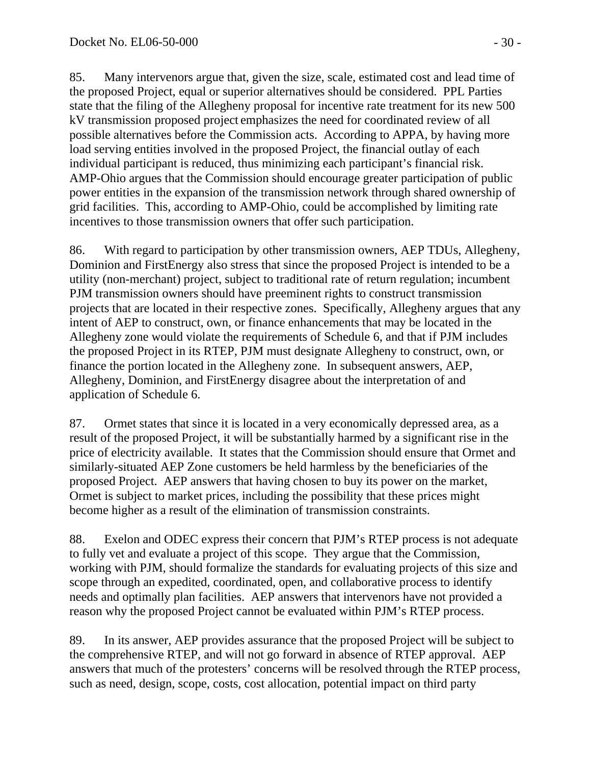85. Many intervenors argue that, given the size, scale, estimated cost and lead time of the proposed Project, equal or superior alternatives should be considered. PPL Parties state that the filing of the Allegheny proposal for incentive rate treatment for its new 500 kV transmission proposed project emphasizes the need for coordinated review of all possible alternatives before the Commission acts. According to APPA, by having more load serving entities involved in the proposed Project, the financial outlay of each individual participant is reduced, thus minimizing each participant's financial risk. AMP-Ohio argues that the Commission should encourage greater participation of public power entities in the expansion of the transmission network through shared ownership of grid facilities. This, according to AMP-Ohio, could be accomplished by limiting rate incentives to those transmission owners that offer such participation.

86. With regard to participation by other transmission owners, AEP TDUs, Allegheny, Dominion and FirstEnergy also stress that since the proposed Project is intended to be a utility (non-merchant) project, subject to traditional rate of return regulation; incumbent PJM transmission owners should have preeminent rights to construct transmission projects that are located in their respective zones. Specifically, Allegheny argues that any intent of AEP to construct, own, or finance enhancements that may be located in the Allegheny zone would violate the requirements of Schedule 6, and that if PJM includes the proposed Project in its RTEP, PJM must designate Allegheny to construct, own, or finance the portion located in the Allegheny zone. In subsequent answers, AEP, Allegheny, Dominion, and FirstEnergy disagree about the interpretation of and application of Schedule 6.

87. Ormet states that since it is located in a very economically depressed area, as a result of the proposed Project, it will be substantially harmed by a significant rise in the price of electricity available. It states that the Commission should ensure that Ormet and similarly-situated AEP Zone customers be held harmless by the beneficiaries of the proposed Project. AEP answers that having chosen to buy its power on the market, Ormet is subject to market prices, including the possibility that these prices might become higher as a result of the elimination of transmission constraints.

88. Exelon and ODEC express their concern that PJM's RTEP process is not adequate to fully vet and evaluate a project of this scope. They argue that the Commission, working with PJM, should formalize the standards for evaluating projects of this size and scope through an expedited, coordinated, open, and collaborative process to identify needs and optimally plan facilities. AEP answers that intervenors have not provided a reason why the proposed Project cannot be evaluated within PJM's RTEP process.

89. In its answer, AEP provides assurance that the proposed Project will be subject to the comprehensive RTEP, and will not go forward in absence of RTEP approval. AEP answers that much of the protesters' concerns will be resolved through the RTEP process, such as need, design, scope, costs, cost allocation, potential impact on third party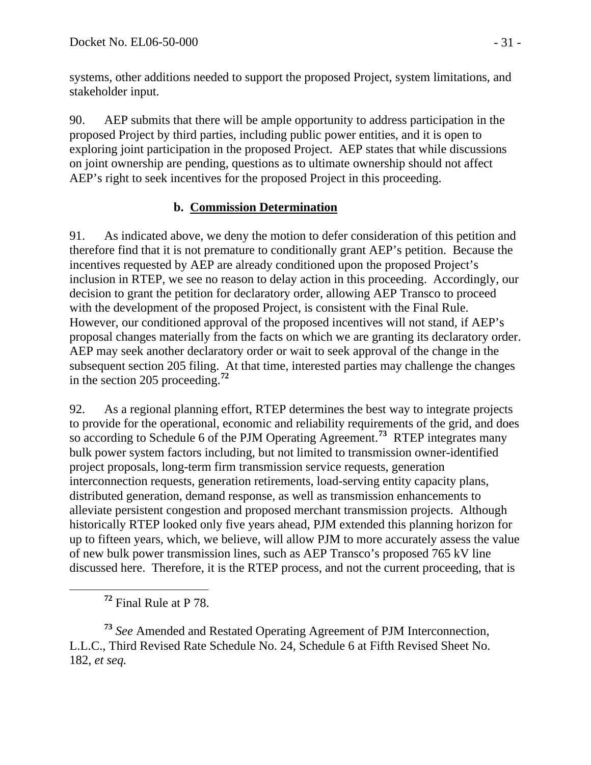systems, other additions needed to support the proposed Project, system limitations, and stakeholder input.

90. AEP submits that there will be ample opportunity to address participation in the proposed Project by third parties, including public power entities, and it is open to exploring joint participation in the proposed Project. AEP states that while discussions on joint ownership are pending, questions as to ultimate ownership should not affect AEP's right to seek incentives for the proposed Project in this proceeding.

#### **b. Commission Determination**

91. As indicated above, we deny the motion to defer consideration of this petition and therefore find that it is not premature to conditionally grant AEP's petition. Because the incentives requested by AEP are already conditioned upon the proposed Project's inclusion in RTEP, we see no reason to delay action in this proceeding. Accordingly, our decision to grant the petition for declaratory order, allowing AEP Transco to proceed with the development of the proposed Project, is consistent with the Final Rule. However, our conditioned approval of the proposed incentives will not stand, if AEP's proposal changes materially from the facts on which we are granting its declaratory order. AEP may seek another declaratory order or wait to seek approval of the change in the subsequent section 205 filing. At that time, interested parties may challenge the changes in the section 205 proceeding.**[72](#page-30-0)**

92. As a regional planning effort, RTEP determines the best way to integrate projects to provide for the operational, economic and reliability requirements of the grid, and does so according to Schedule 6 of the PJM Operating Agreement.<sup>[73](#page-30-1)</sup> RTEP integrates many bulk power system factors including, but not limited to transmission owner-identified project proposals, long-term firm transmission service requests, generation interconnection requests, generation retirements, load-serving entity capacity plans, distributed generation, demand response, as well as transmission enhancements to alleviate persistent congestion and proposed merchant transmission projects. Although historically RTEP looked only five years ahead, PJM extended this planning horizon for up to fifteen years, which, we believe, will allow PJM to more accurately assess the value of new bulk power transmission lines, such as AEP Transco's proposed 765 kV line discussed here. Therefore, it is the RTEP process, and not the current proceeding, that is

**<sup>72</sup>** Final Rule at P 78.

<span id="page-30-1"></span><span id="page-30-0"></span>**<sup>73</sup>** *See* Amended and Restated Operating Agreement of PJM Interconnection, L.L.C., Third Revised Rate Schedule No. 24, Schedule 6 at Fifth Revised Sheet No. 182, *et seq.*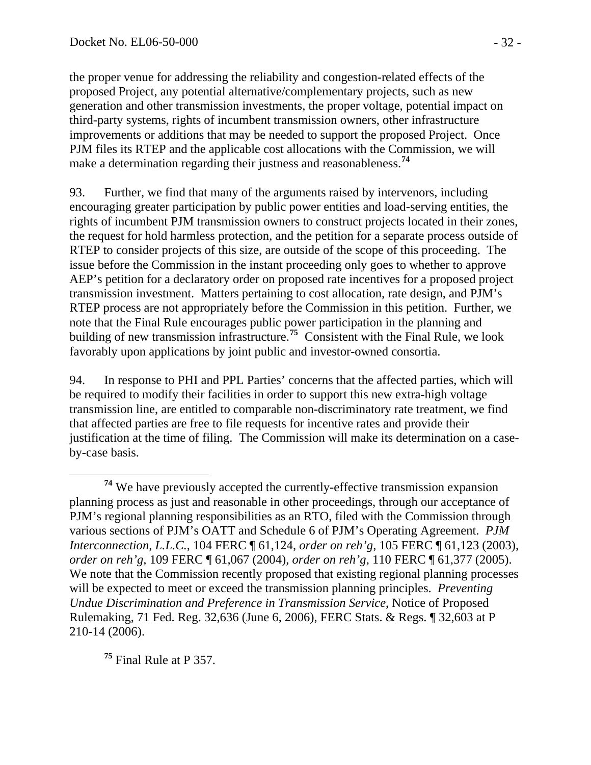the proper venue for addressing the reliability and congestion-related effects of the proposed Project, any potential alternative/complementary projects, such as new generation and other transmission investments, the proper voltage, potential impact on third-party systems, rights of incumbent transmission owners, other infrastructure improvements or additions that may be needed to support the proposed Project. Once PJM files its RTEP and the applicable cost allocations with the Commission, we will make a determination regarding their justness and reasonableness.**[74](#page-31-0)**

93. Further, we find that many of the arguments raised by intervenors, including encouraging greater participation by public power entities and load-serving entities, the rights of incumbent PJM transmission owners to construct projects located in their zones, the request for hold harmless protection, and the petition for a separate process outside of RTEP to consider projects of this size, are outside of the scope of this proceeding. The issue before the Commission in the instant proceeding only goes to whether to approve AEP's petition for a declaratory order on proposed rate incentives for a proposed project transmission investment. Matters pertaining to cost allocation, rate design, and PJM's RTEP process are not appropriately before the Commission in this petition. Further, we note that the Final Rule encourages public power participation in the planning and building of new transmission infrastructure.<sup>[75](#page-31-1)</sup> Consistent with the Final Rule, we look favorably upon applications by joint public and investor-owned consortia.

94. In response to PHI and PPL Parties' concerns that the affected parties, which will be required to modify their facilities in order to support this new extra-high voltage transmission line, are entitled to comparable non-discriminatory rate treatment, we find that affected parties are free to file requests for incentive rates and provide their justification at the time of filing. The Commission will make its determination on a caseby-case basis.

<span id="page-31-1"></span>**<sup>75</sup>** Final Rule at P 357.

<span id="page-31-0"></span>**<sup>74</sup>** We have previously accepted the currently-effective transmission expansion planning process as just and reasonable in other proceedings, through our acceptance of PJM's regional planning responsibilities as an RTO, filed with the Commission through various sections of PJM's OATT and Schedule 6 of PJM's Operating Agreement. *PJM Interconnection, L.L.C.*, 104 FERC ¶ 61,124, *order on reh'g*, 105 FERC ¶ 61,123 (2003), *order on reh'g*, 109 FERC ¶ 61,067 (2004), *order on reh'g*, 110 FERC ¶ 61,377 (2005). We note that the Commission recently proposed that existing regional planning processes will be expected to meet or exceed the transmission planning principles. *Preventing Undue Discrimination and Preference in Transmission Service*, Notice of Proposed Rulemaking, 71 Fed. Reg. 32,636 (June 6, 2006), FERC Stats. & Regs. ¶ 32,603 at P 210-14 (2006).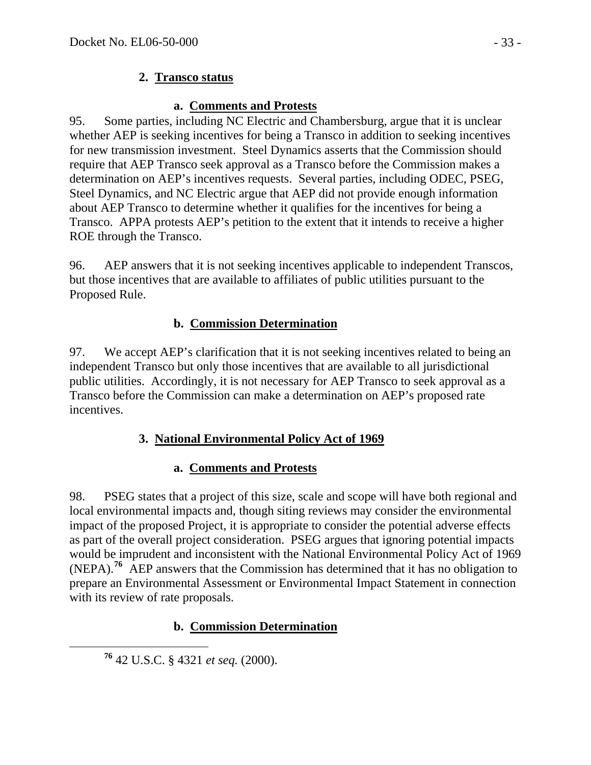## **2. Transco status**

## **a. Comments and Protests**

95. Some parties, including NC Electric and Chambersburg, argue that it is unclear whether AEP is seeking incentives for being a Transco in addition to seeking incentives for new transmission investment. Steel Dynamics asserts that the Commission should require that AEP Transco seek approval as a Transco before the Commission makes a determination on AEP's incentives requests. Several parties, including ODEC, PSEG, Steel Dynamics, and NC Electric argue that AEP did not provide enough information about AEP Transco to determine whether it qualifies for the incentives for being a Transco. APPA protests AEP's petition to the extent that it intends to receive a higher ROE through the Transco.

96. AEP answers that it is not seeking incentives applicable to independent Transcos, but those incentives that are available to affiliates of public utilities pursuant to the Proposed Rule.

## **b. Commission Determination**

97. We accept AEP's clarification that it is not seeking incentives related to being an independent Transco but only those incentives that are available to all jurisdictional public utilities. Accordingly, it is not necessary for AEP Transco to seek approval as a Transco before the Commission can make a determination on AEP's proposed rate incentives.

## **3. National Environmental Policy Act of 1969**

## **a. Comments and Protests**

98. PSEG states that a project of this size, scale and scope will have both regional and local environmental impacts and, though siting reviews may consider the environmental impact of the proposed Project, it is appropriate to consider the potential adverse effects as part of the overall project consideration. PSEG argues that ignoring potential impacts would be imprudent and inconsistent with the National Environmental Policy Act of 1969 (NEPA).**[76](#page-32-0)** AEP answers that the Commission has determined that it has no obligation to prepare an Environmental Assessment or Environmental Impact Statement in connection with its review of rate proposals.

## **b. Commission Determination**

<span id="page-32-0"></span>**<sup>76</sup>** 42 U.S.C. § 4321 *et seq.* (2000).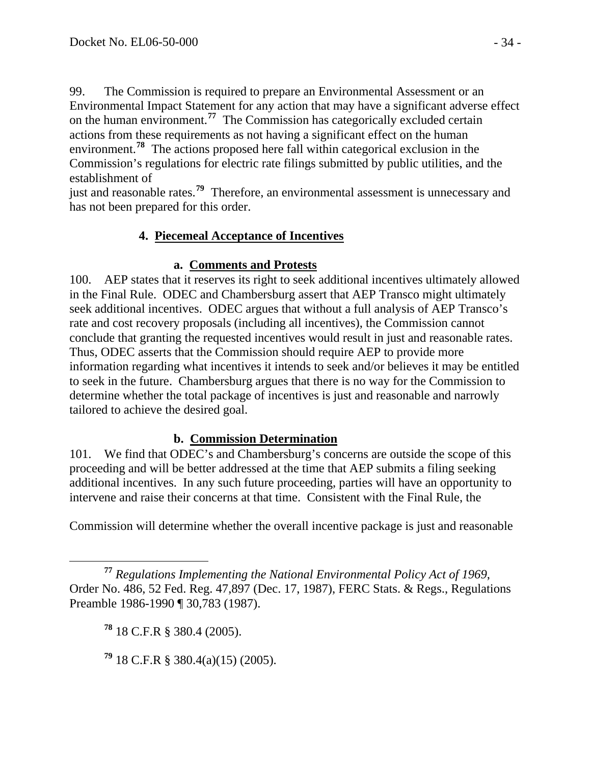99. The Commission is required to prepare an Environmental Assessment or an Environmental Impact Statement for any action that may have a significant adverse effect on the human environment.**[77](#page-33-0)** The Commission has categorically excluded certain actions from these requirements as not having a significant effect on the human environment.**[78](#page-33-1)** The actions proposed here fall within categorical exclusion in the Commission's regulations for electric rate filings submitted by public utilities, and the establishment of

just and reasonable rates.**[79](#page-33-2)** Therefore, an environmental assessment is unnecessary and has not been prepared for this order.

## **4. Piecemeal Acceptance of Incentives**

#### **a. Comments and Protests**

100. AEP states that it reserves its right to seek additional incentives ultimately allowed in the Final Rule. ODEC and Chambersburg assert that AEP Transco might ultimately seek additional incentives. ODEC argues that without a full analysis of AEP Transco's rate and cost recovery proposals (including all incentives), the Commission cannot conclude that granting the requested incentives would result in just and reasonable rates. Thus, ODEC asserts that the Commission should require AEP to provide more information regarding what incentives it intends to seek and/or believes it may be entitled to seek in the future. Chambersburg argues that there is no way for the Commission to determine whether the total package of incentives is just and reasonable and narrowly tailored to achieve the desired goal.

#### **b. Commission Determination**

101. We find that ODEC's and Chambersburg's concerns are outside the scope of this proceeding and will be better addressed at the time that AEP submits a filing seeking additional incentives. In any such future proceeding, parties will have an opportunity to intervene and raise their concerns at that time. Consistent with the Final Rule, the

Commission will determine whether the overall incentive package is just and reasonable

<span id="page-33-1"></span><span id="page-33-0"></span> **<sup>77</sup>** *Regulations Implementing the National Environmental Policy Act of 1969*, Order No. 486, 52 Fed. Reg. 47,897 (Dec. 17, 1987), FERC Stats. & Regs., Regulations Preamble 1986-1990 ¶ 30,783 (1987).

**<sup>78</sup>** 18 C.F.R § 380.4 (2005).

<span id="page-33-2"></span>**<sup>79</sup>** 18 C.F.R § 380.4(a)(15) (2005).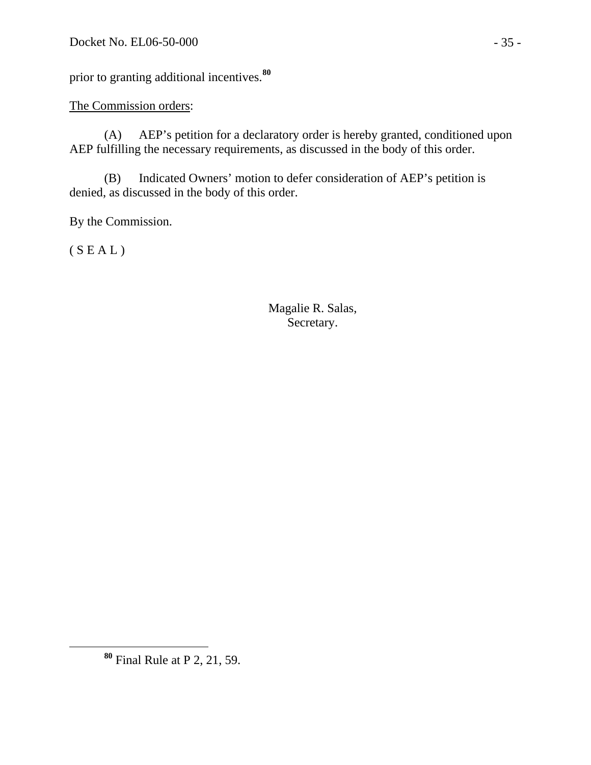prior to granting additional incentives.**[80](#page-34-0)**

#### The Commission orders:

(A) AEP's petition for a declaratory order is hereby granted, conditioned upon AEP fulfilling the necessary requirements, as discussed in the body of this order.

(B) Indicated Owners' motion to defer consideration of AEP's petition is denied, as discussed in the body of this order.

By the Commission.

 $(S E A L)$ 

 Magalie R. Salas, Secretary.

<span id="page-34-0"></span>**<sup>80</sup>** Final Rule at P 2, 21, 59.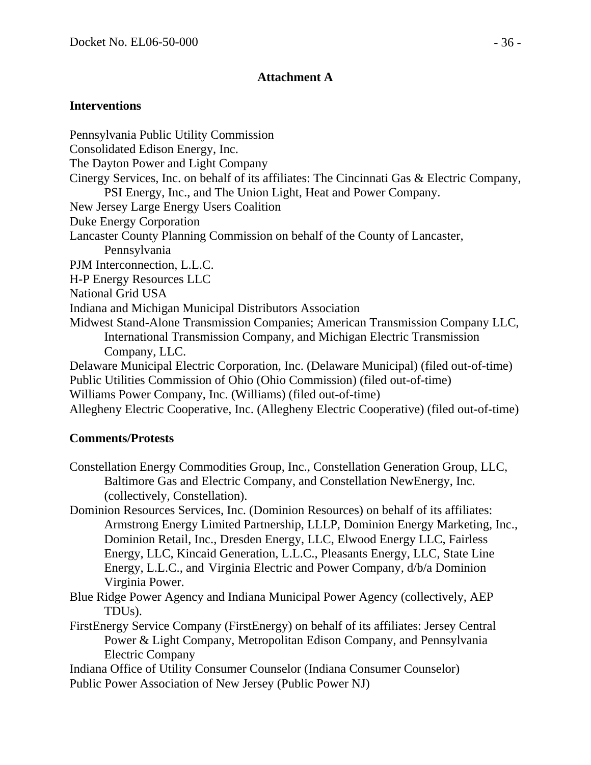#### **Attachment A**

#### **Interventions**

Pennsylvania Public Utility Commission Consolidated Edison Energy, Inc. The Dayton Power and Light Company Cinergy Services, Inc. on behalf of its affiliates: The Cincinnati Gas & Electric Company, PSI Energy, Inc., and The Union Light, Heat and Power Company. New Jersey Large Energy Users Coalition Duke Energy Corporation Lancaster County Planning Commission on behalf of the County of Lancaster, Pennsylvania PJM Interconnection, L.L.C. H-P Energy Resources LLC National Grid USA Indiana and Michigan Municipal Distributors Association Midwest Stand-Alone Transmission Companies; American Transmission Company LLC, International Transmission Company, and Michigan Electric Transmission Company, LLC. Delaware Municipal Electric Corporation, Inc. (Delaware Municipal) (filed out-of-time) Public Utilities Commission of Ohio (Ohio Commission) (filed out-of-time) Williams Power Company, Inc. (Williams) (filed out-of-time)

Allegheny Electric Cooperative, Inc. (Allegheny Electric Cooperative) (filed out-of-time)

#### **Comments/Protests**

- Constellation Energy Commodities Group, Inc., Constellation Generation Group, LLC, Baltimore Gas and Electric Company, and Constellation NewEnergy, Inc. (collectively, Constellation).
- Dominion Resources Services, Inc. (Dominion Resources) on behalf of its affiliates: Armstrong Energy Limited Partnership, LLLP, Dominion Energy Marketing, Inc., Dominion Retail, Inc., Dresden Energy, LLC, Elwood Energy LLC, Fairless Energy, LLC, Kincaid Generation, L.L.C., Pleasants Energy, LLC, State Line Energy, L.L.C., and Virginia Electric and Power Company, d/b/a Dominion Virginia Power.
- Blue Ridge Power Agency and Indiana Municipal Power Agency (collectively, AEP TDUs).
- FirstEnergy Service Company (FirstEnergy) on behalf of its affiliates: Jersey Central Power & Light Company, Metropolitan Edison Company, and Pennsylvania Electric Company
- Indiana Office of Utility Consumer Counselor (Indiana Consumer Counselor) Public Power Association of New Jersey (Public Power NJ)